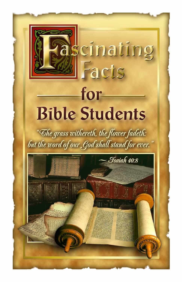# for **Bible Students**

ascinating

Facts

"The grass withereth, the flower fadeth: but the word of our God shall stand for ever.

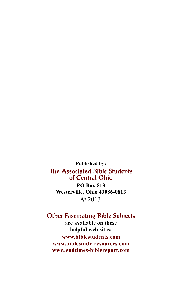**Published by:** The Associated Bible Students of Central Ohio **PO Box 813 Westerville, Ohio 43086-0813** © 2013

## Other Fascinating Bible Subjects

**are available on these helpful web sites: www.biblestudents.com www.biblestudy-resources.com www.endtimes-biblereport.com**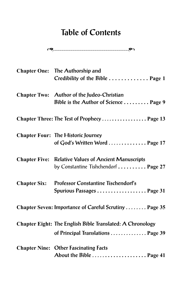## Table of Contents

$$
\mathfrak{S}^{\bullet}
$$

|                     | Chapter One: The Authorship and<br>Credibility of the Bible Page 1                                  |
|---------------------|-----------------------------------------------------------------------------------------------------|
|                     | Chapter Two: Author of the Judeo-Christian<br>Bible is the Author of Science  Page 9                |
|                     | Chapter Three: The Test of Prophecy  Page 13                                                        |
|                     | <b>Chapter Four: The Historic Journey</b><br>of God's Written Word  Page 17                         |
|                     | <b>Chapter Five: Relative Values of Ancient Manuscripts</b><br>by Constantine Tishchendorf  Page 27 |
| <b>Chapter Six:</b> | Professor Constantine Tischendorf's<br>Spurious Passages Page 31                                    |
|                     | Chapter Seven: Importance of Careful Scrutiny Page 35                                               |
|                     | Chapter Eight: The English Bible Translated: A Chronology<br>of Principal Translations  Page 39     |
|                     | <b>Chapter Nine: Other Fascinating Facts</b>                                                        |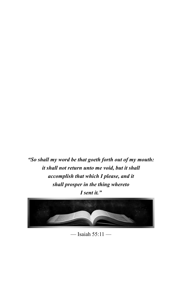*"So shall my word be that goeth forth out of my mouth: it shall not return unto me void, but it shall accomplish that which I please, and it shall prosper in the thing whereto I sent it."*



— Isaiah 55:11 —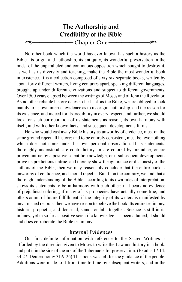## The Authorship and Credibility of the Bible Chapter One -

No other book which the world has ever known has such a history as the Bible. Its origin and authorship, its antiquity, its wonderful preservation in the midst of the unparalleled and continuous opposition which sought to destroy it, as well as its diversity and teaching, make the Bible the most wonderful book in existence. It is a collection composed of sixty-six separate books, written by about forty different writers, living centuries apart, speaking different languages, brought up under different civilizations and subject to different governments. Over 1500 years elapsed between the writings of Moses and of John the Revelator. As no other reliable history dates so far back as the Bible, we are obliged to look mainly to its own internal evidence as to its origin, authorship, and the reason for its existence, and indeed for its credibility in every respect; and further, we should look for such corroboration of its statements as reason, its own harmony with itself, and with other known facts, and subsequent developments furnish.

He who would cast away Bible history as unworthy of credence, must on the same ground reject all history; and to be entirely consistent, must believe nothing which does not come under his own personal observation. If its statements, thoroughly understood, are contradictory, or are colored by prejudice, or are proven untrue by a positive scientific knowledge, or if subsequent developments prove its predictions untrue, and thereby show the ignorance or dishonesty of the authors of the Bible, then we may reasonably conclude that the entire book is unworthy of confidence, and should reject it. But if, on the contrary, we find that a thorough understanding of the Bible, according to its own rules of interpretation, shows its statements to be in harmony with each other; if it bears no evidence of prejudicial coloring; if many of its prophecies have actually come true, and others admit of future fulfillment; if the integrity of its writers is manifested by unvarnished records, then we have reason to believe the book. Its entire testimony, historic, prophetic, and doctrinal, stands or falls together. Science is still in its infancy, yet in so far as positive scientific knowledge has been attained, it should and does corroborate the Bible testimony.

#### Internal Evidences

Our first definite information with reference to the Sacred Writings is afforded by the direction given to Moses to write the Law and history in a book, and put it in the side of the ark of the Tabernacle for preservation. (Exodus 17:14; 34:27; Deuteronomy 31:9-26) This book was left for the guidance of the people. Additions were made to it from time to time by subsequent writers, and in the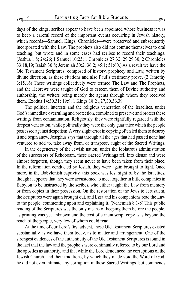days of the kings, scribes appear to have been appointed whose business it was to keep a careful record of the important events occurring in Jewish history, which records—Samuel, Kings, Chronicles—were preserved and subsequently incorporated with the Law. The prophets also did not confine themselves to oral teaching, but wrote and in some cases had scribes to record their teachings. (Joshua 1:8; 24:26; 1 Samuel 10:25; 1 Chronicles 27:32; 29:29,30; 2 Chronicles 33:18,19; Isaiah 30:8; Jeremiah 30:2; 36:2; 45:1; 51:60.) As a result we have the Old Testament Scriptures, composed of history, prophecy and Law, written by divine direction, as these citations and also Paul's testimony prove. (2 Timothy 3:15,16) These writings collectively were termed The Law and The Prophets, and the Hebrews were taught of God to esteem them of Divine authority and authorship, the writers being merely the agents through whom they received them. Exodus 14:30,31; 19:9; 1 Kings 18:21,27,30,36,39

The political interests and the religious veneration of the Israelites, under God's immediate overruling and protection, combined to preserve and protect these writings from contamination. Religiously, they were rightfully regarded with the deepest veneration, while politically they were the only guarantee which the people possessed against despotism. A very slight error in copying often led them to destroy it and begin anew. Josephus says that through all the ages that had passed none had ventured to add to, take away from, or transpose, aught of the Sacred Writings.

In the degeneracy of the Jewish nation, under the idolatrous administration of the successors of Rehoboam, these Sacred Writings fell into disuse and were almost forgotten, though they seem never to have been taken from their place. In the reformation conducted by Josiah, they were again brought to light. Once more, in the Babylonish captivity, this book was lost sight of by the Israelites, though it appears that they were accustomed to meet together in little companies in Babylon to be instructed by the scribes, who either taught the Law from memory or from copies in their possession. On the restoration of the Jews to Jerusalem, the Scriptures were again brought out, and Ezra and his companions read the Law to the people, commenting upon and explaining it. (Nehemiah 8:1-8) This public reading of the Scriptures was the only means of keeping them before the people, as printing was yet unknown and the cost of a manuscript copy was beyond the reach of the people, very few of whom could read.

At the time of our Lord's first advent, these Old Testament Scriptures existed substantially as we have them today, as to matter and arrangement. One of the strongest evidences of the authenticity of the Old Testament Scriptures is found in the fact that the law and the prophets were continually referred to by our Lord and the apostles as authority, and that while the Lord denounced the corruptions of the Jewish Church, and their traditions, by which they made void the Word of God, he did not even intimate any corruption in these Sacred Writings, but commends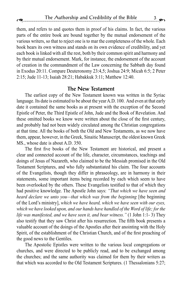them, and refers to and quotes them in proof of his claims. In fact, the various parts of the entire book are bound together by the mutual endorsement of the various writers, so that to reject one is to mar the completeness of the whole. Each book bears its own witness and stands on its own evidence of credibility, and yet each book is linked with all the rest, both by their common spirit and harmony and by their mutual endorsement. Mark, for instance, the endorsement of the account of creation in the commandment of the Law concerning the Sabbath day found in Exodus 20:11. Compare Deuteronomy 23:4,5; Joshua 24:9; Micah 6:5; 2 Peter 2:15; Jude 11-13; Isaiah 28:21; Habakkuk 3:11; Matthew 12:40.

#### The New Testament

The earliest copy of the New Testament known was written in the Syriac language. Its date is estimated to be about the year A.D. 100. And even at that early date it contained the same books as at present with the exception of the Second Epistle of Peter, the Third Epistle of John, Jude and the Book of Revelation. And these omitted books we know were written about the close of the first century, and probably had not been widely circulated among the Christian congregations at that time. All the books of both the Old and New Testaments, as we now have them, appear, however, in the Greek, Sinaitic Manuscript, the oldest known Greek MS., whose date is about A.D. 350.

The first five books of the New Testament are historical, and present a clear and connected account of the life, character, circumstances, teachings and doings of Jesus of Nazareth, who claimed to be the Messiah promised in the Old Testament Scriptures, and who fully substantiated his claim. The four accounts of the Evangelists, though they differ in phraseology, are in harmony in their statements, some important items being recorded by each which seem to have been overlooked by the others. These Evangelists testified to that of which they had positive knowledge. The Apostle John says: *"That which we have seen and heard declare we unto you—that which was from the beginning* [the beginning of the Lord's ministry], *which we have heard, which we have seen with our eyes, which we have looked upon, and our hands have handled of the Word of life; for the life was manifested, and we have seen it, and bear witness."* (1 John 1:1- 3) They also testify that they saw Christ after his resurrection. The fifth book presents a valuable account of the doings of the Apostles after their anointing with the Holy Spirit, of the establishment of the Christian Church, and of the first preaching of the good news to the Gentiles.

The Apostolic Epistles were written to the various local congregations or churches, and were directed to be publicly read, and to be exchanged among the churches; and the same authority was claimed for them by their writers as that which was accorded to the Old Testament Scriptures. (1 Thessalonians 5:27;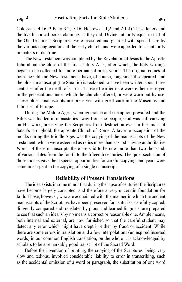Colossians 4:16; 2 Peter 3:2,15,16; Hebrews 1:1,2 and 2:1-4) These letters and the five historical books claiming, as they did, Divine authority equal to that of the Old Testament Scriptures, were treasured and guarded with special care by the various congregations of the early church, and were appealed to as authority in matters of doctrine.

The New Testament was completed by the Revelation of Jesus to the Apostle John about the close of the first century A.D., after which, the holy writings began to be collected for more permanent preservation. The original copies of both the Old and New Testaments have, of course, long since disappeared, and the oldest manuscript (the Sinaitic) is reckoned to have been written about three centuries after the death of Christ. Those of earlier date were either destroyed in the persecutions under which the church suffered, or were worn out by use. These oldest manuscripts are preserved with great care in the Museums and Libraries of Europe.

During the Middle Ages, when ignorance and corruption prevailed and the Bible was hidden in monasteries away from the people, God was still carrying on His work, preserving the Scriptures from destruction even in the midst of Satan's stronghold, the apostate Church of Rome. A favorite occupation of the monks during the Middle Ages was the copying of the manuscripts of the New Testament, which were esteemed as relics more than as God's living authoritative Word. Of these manuscripts there are said to be now more than two thousand, of various dates from the fourth to the fifteenth centuries. The quiet seclusion of those monks gave them special opportunities for careful copying, and years were sometimes spent in the copying of a single manuscript.

#### Reliability of Present Translations

The idea exists in some minds that during the lapse of centuries the Scriptures have become largely corrupted, and therefore a very uncertain foundation for faith. Those, however, who are acquainted with the manner in which the ancient manuscripts of the Scriptures have been preserved for centuries, carefully copied, diligently compared and translated by pious and learned linguists, are prepared to see that such an idea is by no means a correct or reasonable one. Ample means, both internal and external, are now furnished so that the careful student may detect any error which might have crept in either by fraud or accident. While there are some errors in translation and a few interpolations (uninspired inserted words) in our common English translation, on the whole it is acknowledged by scholars to be a remarkably good transcript of the Sacred Word.

Before the invention of printing, the copying of the Scriptures, being very slow and tedious, involved considerable liability to error in transcribing, such as the accidental omission of a word or paragraph, the substitution of one word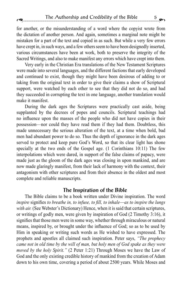for another, or the misunderstanding of a word where the copyist wrote from the dictation of another person. And again, sometimes a marginal note might be mistaken for a part of the text and copied in as such. But while a very few errors have crept in, in such ways, and a few others seem to have been designedly inserted, various circumstances have been at work, both to preserve the integrity of the Sacred Writings, and also to make manifest any errors which have crept into them.

Very early in the Christian Era translations of the New Testament Scriptures were made into several languages, and the different factions that early developed and continued to exist, though they might have been desirous of adding to or taking from the original text in order to give their claims a show of Scriptural support, were watched by each other to see that they did not do so, and had they succeeded in corrupting the text in one language, another translation would make it manifest.

During the dark ages the Scriptures were practically cast aside, being supplanted by the decrees of popes and councils. Scriptural teachings had no influence upon the masses of the people who did not have copies in their possession—nor could they have read them if they had them. Doubtless, this made unnecessary the serious alteration of the text, at a time when bold, bad men had abundant power to do so. Thus the depth of ignorance in the dark ages served to protect and keep pure God's Word, so that its clear light has shone specially at the two ends of the Gospel age. (1 Corinthians 10:11) The few interpolations which were dared, in support of the false claims of papacy, were made just as the gloom of the dark ages was closing in upon mankind, and are now made glaringly manifest, from their lack of harmony with the context, their antagonism with other scriptures and from their absence in the oldest and most complete and reliable manuscripts.

#### The Inspiration of the Bible

The Bible claims to be a book written under Divine inspiration. The word *inspire* signifies *to breathe in, to infuse, to fill, to inhale*—*as to inspire the lungs*  with air. (See Webster's Dictionary) Hence, when it is said that certain scriptures, or writings of godly men, were given by inspiration of God (2 Timothy 3:16), it signifies that those men were in some way, whether through miraculous or natural means, inspired by, or brought under the influence of God; so as to be used by Him in speaking or writing such words as He wished to have expressed. The prophets and apostles all claimed such inspiration. Peter says, *"The prophecy came not in old time by the will of man, but holy men of God spake as they were moved by the holy Spirit."* (2 Peter 1:21) Through Moses we have the Law of God and the only existing credible history of mankind from the creation of Adam down to his own time, covering a period of about 2500 years. While Moses and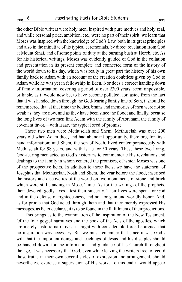the other Bible writers were holy men, inspired with pure motives and holy zeal, and while personal pride, ambition, etc., were no part of their spirit, we learn that Moses was inspired with the knowledge of God's Law, both in its great principles and also in the minutiae of its typical ceremonials, by direct revelation from God at Mount Sinai, and of some points of duty at the burning bush at Horeb, etc. As for his historical writings, Moses was evidently guided of God in the collation and presentation in its present complete and connected form of the history of the world down to his day, which was really in great part the history of his own family back to Adam with an account of the creation doubtless given by God to Adam while he was yet in fellowship in Eden. Nor does a correct handing down of family information, covering a period of over 2300 years, seem impossible, or liable, as it would now be, to have become polluted; for, aside from the fact that it was handed down through the God-fearing family line of Seth, it should be remembered that at that time the bodies, brains and memories of men were not so weak as they are now, and as they have been since the flood; and finally, because the long lives of two men link Adam with the family of Abraham, the family of covenant favor,—with Isaac, the typical seed of promise.

These two men were Methuselah and Shem. Methuselah was over 200 years old when Adam died, and had abundant opportunity, therefore, for firsthand information; and Shem, the son of Noah, lived contemporaneously with Methuselah for 98 years, and with Isaac for 50 years. Thus, these two living, God-fearing men acted as God's historians to communicate His revelations and dealings to the family in whom centered the promises, of which Moses was one of the prospective heirs. In addition to these facts, we have the statement of Josephus that Methuselah, Noah and Shem, the year before the flood, inscribed the history and discoveries of the world on two monuments of stone and brick which were still standing in Moses' time. As for the writings of the prophets, their devoted, godly lives attest their sincerity. Their lives were spent for God and in the defense of righteousness, and not for gain and worldly honor. And, as for proofs that God acted through them and that they merely expressed His messages, as Peter declares, it is to be found in the fulfillment of their predictions.

This brings us to the examination of the inspiration of the New Testament. Of the four gospel narratives and the book of the Acts of the apostles, which are merely historic narratives, it might with considerable force be argued that no inspiration was necessary. But we must remember that since it was God's will that the important doings and teachings of Jesus and his disciples should be handed down, for the information and guidance of his Church throughout the age, it was necessary that God, even while leaving the writers free to record those truths in their own several styles of expression and arrangement, should nevertheless exercise a supervision of His work. To this end it would appear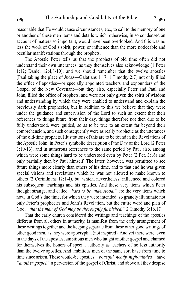reasonable that He would cause circumstances, etc., to call to the memory of one

or another of these men items and details which, otherwise, in so condensed an account of matters so important, would have been overlooked. And this was no less the work of God's spirit, power, or influence than the more noticeable and peculiar manifestations through the prophets.

The Apostle Peter tells us that the prophets of old time often did not understand their own utterances, as they themselves also acknowledge (1 Peter 1:12; Daniel 12:4,8-10); and we should remember that the twelve apostles (Paul taking the place of Judas—Galatians 1:17; 1 Timothy 2:7) not only filled the office of apostles—or specially appointed teachers and expounders of the Gospel of the New Covenant—but they also, especially Peter and Paul and John, filled the office of prophets, and were not only given the spirit of wisdom and understanding by which they were enabled to understand and explain the previously dark prophecies, but in addition to this we believe that they were under the guidance and supervision of the Lord to such an extent that their references to things future from their day, things therefore not then due to be fully understood, were guided, so as to be true to an extent far beyond their comprehension, and such consequently were as really prophetic as the utterances of the old-time prophets. Illustrations of this are to be found in the Revelations of the Apostle John, in Peter's symbolic description of the Day of the Lord (2 Peter 3:10-13), and in numerous references to the same period by Paul also, among which were some things hard to be understood even by Peter  $(2$  Pet. 3:16) and only partially then by Paul himself. The latter, however, was permitted to see future things more clearly than others of his time, and to that end he was given special visions and revelations which he was not allowed to make known to others (2 Corinthians 12:1-4), but which, nevertheless, influenced and colored his subsequent teachings and his epistles. And these very items which Peter thought strange, and called *"hard to be understood,"* are the very items which now, in God's due time, for which they were intended, so grandly illuminate not only Peter's prophecies and John's Revelation, but the entire word and plan of God, *"that the man of God may be thoroughly furnished."* 2 Timothy 3:16,17

That the early church considered the writings and teachings of the apostles different from all others in authority, is manifest from the early arrangement of these writings together and the keeping separate from these other good writings of other good men, as they were apocryphal (not inspired). And yet there were, even in the days of the apostles, ambitious men who taught another gospel and claimed for themselves the honors of special authority as teachers of no less authority than the twelve apostles. And ambitious men of the same sort have from time to time since arisen. These would-be apostles—*boastful, heady, high-minded*—have *"another gospel,"* a perversion of the gospel of Christ; and above all they despise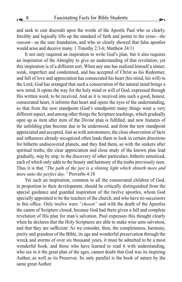and seek to cast discredit upon the words of the Apostle Paul who so clearly, forcibly and logically lifts up the standard of faith and points to the cross—*the ransom*—as the sure foundation, and who so clearly showed that false apostles would arise and deceive many. 1 Timothy 2:3-6; Matthew 24:11

It not only required an inspiration to write God's plan, but it also requires an inspiration of the Almighty to give an understanding of that revelation; yet this inspiration is of a different sort. When any one has realized himself a sinner, weak, imperfect and condemned, and has accepted of Christ as his Redeemer, and full of love and appreciation has consecrated his heart (his mind, his will) to the Lord, God has arranged that such a consecration of the natural mind brings a new mind. It opens the way for the holy mind or will of God, expressed through His written word, to be received. And as it is received into such a good, honest, consecrated heart, it informs that heart and opens the eyes of the understanding, so that from the new standpoint (God's standpoint) many things wear a very different aspect, and among other things the Scripture teachings, which gradually open up as item after item of the Divine plan is fulfilled, and new features of the unfolding plan become due to be understood, and from the new standpoint appreciated and accepted. Just as with astronomers, the close observation of facts and influences already recognized often leads them to look in certain directions for hitherto undiscovered planets, and they find them, so with the seekers after spiritual truths; the clear appreciation and close study of the known plan lead gradually, step by step, to the discovery of other particulars, hitherto unnoticed, each of which only adds to the beauty and harmony of the truths previously seen. Thus it is that *"The path of the just is a shining light which shineth more and more unto the perfect day."* Proverbs 4:18

Yet such an inspiration, common to all the consecrated children of God, in proportion to their development, should be critically distinguished from the special guidance and guarded inspiration of the twelve apostles, whom God specially appointed to be the teachers of the church, and who have no successors in this office. Only twelve were *"chosen"* and with the death of the Apostles the canon of Scripture closed, because God had there given a full and complete revelation of His plan for man's salvation. Paul expresses this thought clearly when he declares that the Holy Scriptures are able to make wise unto salvation, and that they are sufficient. As we consider, then, the completeness, harmony, purity and grandeur of the Bible, its age and wonderful preservation through the wreck and storms of over six thousand years, it must be admitted to be a most wonderful book; and those who have learned to read it with understanding, who see in it the great plan of the ages, cannot doubt that God was its inspiring Author, as well as its Preserver. Its only parallel is the book of nature by the same great Author.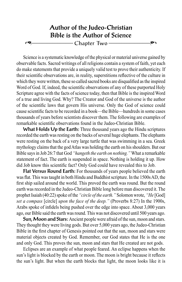### Author of the Judeo-Christian Bible is the Author of Science =–––––––––––––––– Chapter Two ––––––––––––––––'

Science is a systematic knowledge of the physical or material universe gained by observable facts. Sacred writings of all religions contain a system of faith, yet each do make statements that provide a uniquely valid test to prove their authenticity. If their scientific observations are, in reality, superstitions reflective of the culture in which they were written, these so called sacred books are disqualified as the inspired Word of God. If, indeed, the scientific observations of any of these purported Holy Scripture agree with the facts of science today, then that Bible is the inspired Word of a true and living God. Why? The Creator and God of the universe is the author of the scientific laws that govern His universe. Only the God of science could cause scientific facts to be recorded in a book—the Bible—hundreds in some cases thousands of years before scientists discover them. The following are examples of remarkable scientific observations found in the Judeo-Christian Bible.

What Holds Up the Earth: Three thousand years ago the Hindu scriptures recorded the earth was resting on the backs of several huge elephants. The elephants were resting on the back of a very large turtle that was swimming in a sea. Greek mythology claims that the god Atlas was holding the earth on his shoulders. But our Bible says in Job 26:7 that God *"hangeth the earth on nothing."* What a remarkable statement of fact. The earth is suspended in space. Nothing is holding it up. How did Job know this scientific fact? Only God could have revealed this to Job.

Flat Versus Round Earth: For thousands of years people believed the earth was flat. This was taught in both Hindu and Buddhist scripture. In the 1500s AD, the first ship sailed around the world. This proved the earth was round. But the round earth was recorded in the Judeo-Christian Bible long before man discovered it. The prophet Isaiah (40:22) spoke of the *"circle of the earth."* Solomon wrote, *"He* [God] *set a compass* [circle] *upon the face of the deep."* (Proverbs 8:27) In the 1900s, Arabs spoke of infidels being pushed over the edge into space. About 3,000 years ago, our Bible said the earth was round. This was not discovered until 500 years ago.

Sun, Moon and Stars: Ancient people were afraid of the sun, moon and stars. They thought they were living gods. But over 5,000 years ago, the Judeo-Christian Bible in the first chapter of Genesis pointed out that the sun, moon and stars were material objects created by God. Remember, our God states that He is the one and only God. This proves the sun, moon and stars that He created are not gods.

Eclipses are an example of what people feared. An eclipse happens when the sun's light is blocked by the earth or moon. The moon is bright because it reflects the sun's light. But when the earth blocks that light, the moon looks like it is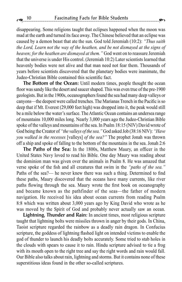disappearing. Some religions taught that eclipses happened when the moon was mad at the earth and turned its face away. The Chinese believed that an eclipse was caused by a demon beast that ate the sun. God told Jeremiah (10:2): *"Thus saith the Lord, Learn not the way of the heathen, and be not dismayed at the signs of heaven; for the heathen are dismayed at them."* God went on to reassure Jeremiah that the universe is under His control. (Jeremiah 10:2) Later scientists learned that heavenly bodies were not alive and that man need not fear them. Thousands of years before scientists discovered that the planetary bodies were inanimate, the Judeo-Christian Bible contained this scientific fact.

The Bottom of the Ocean: Until modern times, people thought the ocean floor was sandy like the desert and saucer shaped. This was even true of the pre-1900 geologists. But in the 1900s, oceanographers found the sea had many deep valleys or canyons—the deepest were called trenches. The Marianas Trench in the Pacific is so deep that if Mt. Everest (29,000 feet high) was dropped into it, the peak would still be a mile below the water's surface. The Atlantic Ocean contains an undersea range of mountains 10,000 miles long. Nearly 3,000 years ago the Judeo-Christian Bible spoke of the valleys and mountains of the sea. In Psalm 18:15 (NIV) David wrote of God being the Creator of *"the valleys of the sea."* God asked Job (38:16 NIV): *"Have you walked in the recesses* [valleys] *of the sea?"* The prophet Jonah was thrown off a ship and spoke of falling to the bottom of the mountains in the sea. Jonah 2:6

The Paths of the Sea: In the 1800s, Matthew Maury, an officer in the United States Navy loved to read his Bible. One day Maury was reading about the dominion man was given over the animals in Psalm 8. He was amazed that verse spoke of the fish and all creatures that swim in the *"paths of the sea."* Paths of the sea?— he never knew there was such a thing. Determined to find these paths, Maury discovered that the oceans have many currents, like river paths flowing through the sea. Maury wrote the first book on oceanography and became known as the pathfinder of the seas—the father of modern navigation. He received his idea about ocean currents from reading Psalm 8:8 which was written about 3,000 years ago by King David who wrote as he was moved by the Spirit of God and probably never actually saw an ocean.

Lightning, Thunder and Rain: In ancient times, most religious scripture taught that lightning bolts were missiles thrown in anger by their gods. In China, Taoist scripture regarded the rainbow as a deadly rain dragon. In Confucius scripture, the goddess of lightning flashed light on intended victims to enable the god of thunder to launch his deadly bolts accurately. Some tried to stab holes in the clouds with spears to cause it to rain. Hindu scripture advised to tie a frog with its mouth open to the right tree and say the right words and rain would fall. Our Bible also talks about rain, lightning and storms. But it contains none of these superstitious ideas found in the other so-called scriptures.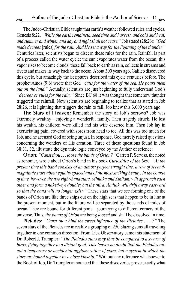The Judeo-Christian Bible taught that earth's weather followed rules and cycles. Genesis 8:22. *"While the earth remaineth, seed time and harvest, and cold and heat, and summer and winter, and day and night shall not cease."* Job stated (28:26): *"God made decrees* [rules] *for the rain. And He set a way for the lightning of the thunder."*  Centuries later, scientists began to discern these rules for the rain. Rainfall is part of a process called the water cycle: the sun evaporates water from the ocean; this vapor rises to become clouds; these fall back to earth as rain, collects in streams and rivers and makes its way back to the ocean. About 300 years ago, Galileo discovered this cycle, but amazingly the Scriptures described this cycle centuries before. The prophet Amos (9:6) wrote that God *"calls for the water of the sea. He pours them out on the land."* Actually, scientists are just beginning to fully understand God's *"decrees or rules for the rain."* Since BC 68 it was thought that somehow thunder triggered the rainfall. Now scientists are beginning to realize that as stated in Job 28:26, it is lightning that triggers the rain to fall. Job knew this 3,000 years ago.

The Stars of Heaven: Remember the story of Job's sorrows? Job was extremely wealthy—enjoying a wonderful family. Then tragedy struck. He lost his wealth, his children were killed and his wife deserted him. Then Job lay in excruciating pain, covered with sores from head to toe. All this was too much for Job, and he accused God of being unjust. In response, God merely raised questions concerning the wonders of His creation. Three of these questions found in Job 38:31, 32, illustrate the dynamic logic conveyed by the Author of science:

Orion: *"Canst thou . . . loose the bands of Orion?"* Garrett P. Serviss, the noted astronomer, wrote about Orion's band in his book *Curiosities of the Sky: "At the present time this band consists of an almost perfect straight line, a row of secondmagnitude stars about equally spaced and of the most striking beauty. In the course of time, however, the two right-hand stars, Mintaka and Alnilam, will approach each other and form a naked-eye double; but the third, Alnitak, will drift away eastward so that the band will no longer exist."* These stars that we see forming one of the bands of Orion are like three ships out on the high seas that happen to be in line at the present moment, but in the future will be separated by thousands of miles of ocean. They are bound for different ports—journeying to different corners of the universe. Thus, *the bands of Orion* are being *loosed* and shall be dissolved in time.

Pleiades: *"Canst thou bind the sweet influence of the Pleiades . . . ?"* The seven stars of the Pleiades are in reality a grouping of 250 blazing suns all traveling together in one common direction. From Lick Observatory came this statement of Dr. Robert J. Trumpler: *"The Pleiades stars may thus be compared to a swarm of birds, flying together to a distant goal. This leaves no doubt that the Pleiades are not a temporary or accidental agglomeration of stars, but a system in which the stars are bound together by a close kinship."* Without any reference whatsoever to the Book of Job, Dr. Trumpler announced that these discoveries prove exactly what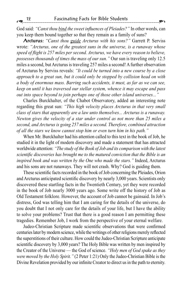God said: *"Canst thou bind the sweet influences of Pleiades?"* In other words, can you keep them bound together so that they remain as a family of suns?

Arcturus: *"Canst thou guide Arcturus with his sons?"* Garrett P. Serviss wrote: *"Arcturus, one of the greatest suns in the universe, is a runaway whose speed of flight is 257 miles per second. Arcturus, we have every reason to believe, possesses thousands of times the mass of our sun."* Our sun is traveling only 12.5 miles a second, but Arcturus is traveling 257 miles a second! A further observation of Arcturus by Serviss reveals: *"It could be turned into a new course by a close approach to a great sun, but it could only be stopped by collision head on with a body of enormous mass. Barring such accidents, it must, as far as we can see, keep on until it has traversed our stellar system, whence it may escape and pass out into space beyond to join perhaps one of those other island universes..."*

Charles Burckhalter, of the Chabot Observatory, added an interesting note regarding this great sun: *"This high velocity places Arcturus in that very small class of stars that apparently are a law unto themselves... Arcturus is a runaway. Newton gives the velocity of a star under control as not more than 25 miles a second, and Arcturus is going 257 miles a second. Therefore, combined attraction of all the stars we know cannot stop him or even turn him in his path."*

When Mr. Burckhalter had his attention called to this text in the book of Job, he studied it in the light of modern discovery and made a statement that has attracted worldwide attention: *"The study of the Book of Job and its comparison with the latest scientific discoveries has brought me to the matured conviction that the Bible is an inspired book and was written by the One who made the stars."* Indeed, Arcturus and his sons are not runaways. They will not crash. Why? God is guiding them.

These scientific facts recorded in the book of Job concerning the Pleiades, Orion and Arcturus anticipated scientific discovery by nearly 3,000 years. Scientists only discovered these startling facts in the Twentieth Century, yet they were recorded in the book of Job nearly 3000 years ago. Some write off the history of Job as Old Testament folklore. However, the account of Job cannot be gainsaid. In Job's distress, God was telling him that I am caring for the details of the universe, do you doubt that I not only care for the details of your life, but I have the ability to solve your problems? Trust that there is a good reason I am permitting these tragedies. Remember Job, I work from the perspective of your eternal welfare.

Judeo-Christian Scripture made scientific observations that were confirmed centuries later by modern science, while the writings of other religions merely reflected the superstitions of their culture. How could the Judeo-Christian Scripture anticipate scientific discovery by 3,000 years? The Holy Bible was written by men inspired by the Creator of the Universe — the God of science. *"Holy men of God spake as they were moved by the Holy Spirit."* (2 Peter 1:21) Only the Judeo-Christian Bible is the Divine Revelation provided by our infinite Creator to direct us in the path to eternity.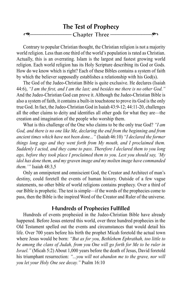

Contrary to popular Christian thought, the Christian religion is not a majority world religion. Less than one third of the world's population is rated as Christian. Actually, this is an overrating. Islam is the largest and fastest growing world religion. Each world religion has its Holy Scripture describing its God or Gods. How do we know which is right? Each of these Bibles contains a system of faith by which the believer supposedly establishes a relationship with his God(s).

The God of the Judeo-Christian Bible is quite exclusive. He declares (Isaiah 44:6), *"I am the first, and I am the last; and besides me there is no other God."*  And the Judeo-Christian God can prove it. Although the Judeo-Christian Bible is also a system of faith, it contains a built-in touchstone to prove its God is the only true God. In fact, the Judeo-Christian God in Isaiah 43:9-12; 44:11-20, challenges all the other claims to deity and identifies all other gods for what they are—the creation and imagination of the people who worship them.

What is this challenge of the One who claims to be the only true God? *"I am God, and there is no one like Me, declaring the end from the beginning and from ancient times which have not been done..."* (Isaiah 46:10) *"I declared the former things long ago and they went forth from My mouth, and I proclaimed them. Suddenly I acted, and they came to pass. Therefore I declared them to you long ago, before they took place I proclaimed them to you. Lest you should say, 'My idol has done them, and my graven image and my molten image have commanded them.'"* Isaiah 48:3,5

Only an omnipotent and omniscient God, the Creator and Architect of man's destiny, could foretell the events of human history. Outside of a few vague statements, no other bible of world religions contains prophecy. Over a third of our Bible is prophetic. The test is simple—if the words of the prophecies come to pass, then the Bible is the inspired Word of the Creator and Ruler of the universe.

#### Hundreds of Prophecies Fulfilled

Hundreds of events prophesied in the Judeo-Christian Bible have already happened. Before Jesus entered this world, over three hundred prophecies in the Old Testament spelled out the events and circumstances that would detail his life. Over 700 years before his birth the prophet Micah foretold the actual town where Jesus would be born: *"But as for you, Bethlehem Ephrathah, too little to be among the clans of Judah, from you One will go forth for Me to be ruler in Israel."* (Micah 5:2) About 1,000 years before the death of Jesus, David foretold his triumphant resurrection: *"...you will not abandon me to the grave, nor will you let your Holy One see decay."* Psalm 16:10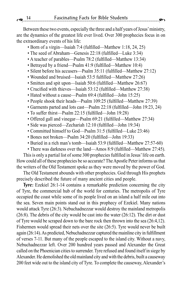Between these two events, especially the three and a half years of Jesus' ministry, are the dynamics of the greatest life ever lived. Over 300 prophecies focus in on the extraordinary events of his life:

- Born of a virgin—Isaiah 7:4 (fulfilled—Matthew 1:18, 24, 25)
- The seed of Abraham—Genesis 22:18 (fulfilled—Luke 3:34)
- A teacher of parables—Psalm 78:2 (fulfilled—Matthew 13:34)
- Betrayed by a friend—Psalm 41:9 (fulfilled—Matthew 10:4)
- Silent before his accusers—Psalm 35:11 (fulfilled—Matthew 27:12)
- Wounded and bruised—Isaiah 53:5 fulfilled—Matthew 27:26)
- Smitten and spit upon—Isaiah 50:6 (fulfilled—Matthew 26:67)
- Crucified with thieves—Isaiah 53:12 (fulfilled—Matthew 27:38)
- Hated without a cause—Psalm 69:4 (fulfilled—John 15:25)
- People shook their heads—Psalm 109:25 (fulfilled—Matthew 27:39)
- Garments parted and lots cast—Psalm 22:18 (fulfilled—John 19:23, 24)
- To suffer thirst—Psalm 22:15 (fulfilled—John 19:28)
- Offered gall and vinegar—Psalm 69:21 (fulfilled—Matthew 27:34)
- Side was pierced—Zechariah 12:10 (fulfilled—John 19:34)
- Committed himself to God—Psalm 31:5 (fulfilled—Luke 23:46)
- Bones not broken—Psalm 34:20 (fulfilled—John 19:33)
- Buried in a rich man's tomb—Isaiah 53:9 (fulfilled—Matthew 27:57-60)
- There was darkness over the land—Amos 8:9 (fulfilled—Matthew 27:45).

This is only a partial list of some 300 prophecies fulfilled in Jesus' life on earth. How could all of these prophecies be so accurate? The Apostle Peter informs us that the writers of the Old Testament spoke as they were moved by the power of God.

The Old Testament abounds with other prophecies. God through His prophets precisely described the future of many ancient cities and people.

Tyre: Ezekiel 26:1-14 contains a remarkable prediction concerning the city of Tyre, the commercial hub of the world for centuries. The metropolis of Tyre occupied the coast while some of its people lived on an island a half mile out into the sea. Seven main points stand out in this prophecy of Ezekiel. Many nations would attack Tyre (26:3). Nebuchadnezzar would destroy the mainland metropolis (26:8). The debris of the city would be cast into the water (26:12). The dirt or dust of Tyre would be scraped down to the bare rock then thrown into the sea (26:4,12). Fishermen would spread their nets over the site (26:5). Tyre would never be built again (26:14). As predicted, Nebuchadnezzar captured the mainline city in fulfillment of verses 7-11. But many of the people escaped to the island city. Without a navy, Nebuchadnezzar left. Over 200 hundred years passed and Alexander the Great called on the Phoenician cities to surrender. Tyre refused and found itself in siege by Alexander. He demolished the old mainland city and with the debris, built a causeway 200 feet wide out to the island city of Tyre. To complete the causeway, Alexander's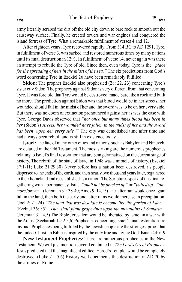army literally scraped the dirt off the old city down to bare rock to smooth out the causeway surface. Finally, he erected towers and war engines and conquered the island fortress of Tyre. What a remarkable fulfillment of verses 4 and 12.

After eighteen years, Tyre recovered rapidly. From 314 BC to AD 1291, Tyre, in fulfillment of verse 3, was sacked and restored numerous times by many nations until its final destruction in 1291. In fulfillment of verse 14, never again was there an attempt to rebuild the Tyre of old. Since then, even today, Tyre is the *"place for the spreading of nets in the midst of the sea."* The six predictions from God's word concerning Tyre in Ezekiel 26 have been remarkably fulfilled.

Sidon: The prophet Ezekiel also prophesied (28: 22, 23) concerning Tyre's sister city Sidon. The prophecy against Sidon is very different from that concerning Tyre. It was foretold that Tyre would be destroyed, made bare like a rock and built no more. The prediction against Sidon was that blood would be in her streets, her wounded should fall in the midst of her and the sword was to be on her every side. But there was no doom of extinction pronounced against her as was the case with Tyre. George Davis observed that *"not once but many times blood has been in her* (Sidon's) *streets, her wounded have fallen in the midst of her and the sword has been 'upon her every side.'"* The city was demolished time after time and had always been rebuilt and is still in existence today.

Israel: The fate of many other cities and nations, such as Babylon and Nineveh, are detailed in the Old Testament. The most striking are the numerous prophecies relating to Israel's final restoration that are being dramatized on the current stage of history. The rebirth of the state of Israel in 1948 was a miracle of history. (Ezekiel 37:1-11; Luke 21:29,30) Never before has a nation been destroyed, its people dispersed to the ends of the earth, and then nearly two thousand years later, regathered to their homeland and reestablished as a nation. The Scriptures speak of this final regathering with a permanency. Israel *"shall not be plucked up"* or *"pulled up" "any more forever.*" (Jeremiah 31: 38-40; Amos 9: 14,15) The latter rain would once again fall in the land, then both the early and latter rains would increase in precipitation. (Joel 2: 21-24) *"The land that was desolate is become like the garden of Eden."*  (Ezekiel 36: 35) *"They shall plant grapevines upon the mountains of Samaria."*  (Jeremiah 31: 4,5) The Bible Jerusalem would be liberated by Israel in a war with the Arabs. (Zechariah 12: 2,5,6) Prophecies concerning Israel's final restoration are myriad. Prophecies being fulfilled by the Jewish people are the strongest proof that the Judeo-Christian Bible is inspired by the only true and living God. Isaiah 44: 6-9

New Testament Prophecies: There are numerous prophecies in the New Testament. We will just mention several contained in *The Lord's Great Prophecy.*  Jesus predicted that the magnificent edifice, Herod's Temple, would be completely destroyed. (Luke 21: 5,6) History well documents this destruction in AD 70 by the armies of Rome.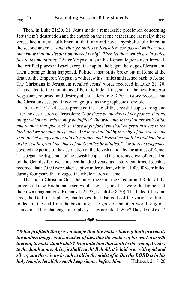Then, in Luke 21:20, 21, Jesus made a remarkable prediction concerning Jerusalem's destruction and the church on the scene at that time. Actually, these verses had a literal fulfillment at that time and have a symbolic fulfillment at the second advent. *"And when ye shall see Jerusalem compassed with armies, then know that the desolation thereof is nigh. Then let them which are in Judea flee to the mountains."* After Vespasian with his Roman legions overthrew all the fortified places in Israel except the capital, he began the siege of Jerusalem. Then a strange thing happened. Political instability broke out in Rome at the death of the Emperor. Vespasian withdrew his armies and rushed back to Rome. The Christians in Jerusalem recalled Jesus' words recorded in Luke 21: 20, 21, and fled to the mountains of Petra to hide. Titus, son of the new Emperor Vespasian, returned and destroyed Jerusalem in AD 70. History records that the Christians escaped this carnage, just as the prophecies foretold.

In Luke 21:22-24, Jesus predicted the fate of the Jewish People during and after the destruction of Jerusalem: *"For these be the days of vengeance, that all things which are written may be fulfilled. But woe unto them that are with child, and to them that give suck, in those days! for there shall be great distress in the*  land, and wrath upon this people. And they shall fall by the edge of the sword, and *shall be led away captive into all nations: and Jerusalem shall be trodden down of the Gentiles, until the times of the Gentiles be fulfilled."* The *days of vengeance*  covered the period of the destruction of the Jewish nation by the armies of Rome. This began the dispersion of the Jewish People and the treading down of Jerusalem by the Gentiles for over nineteen-hundred years, as history confirms. Josephus recorded that 97,000 were taken captive in Jerusalem, while 1,100,000 were killed during four years that ravaged the whole nation of Israel.

The Judeo-Christian God, the only true God, the Creator and Ruler of the universe, knew His human race would devise gods that were the figment of their own imaginations (Romans 1: 21-23; Isaiah 44: 8-20). The Judeo-Christian God, the God of prophecy, challenges the false gods of the various cultures to declare the end from the beginning. The gods of the other world religions cannot meet this challenge of prophecy. They are silent. Why? They do not exist!

–––––––––––––––='–––––––––––––––

*"What profiteth the graven image that the maker thereof hath graven it; the molten image, and a teacher of lies, that the maker of his work trusteth therein, to make dumb idols? Woe unto him that saith to the wood, Awake; to the dumb stone, Arise, it shall teach! Behold, it is laid over with gold and silver, and there is no breath at all in the midst of it. But the LORD is in his holy temple: let all the earth keep silence before him."* — Habakuk 2:18-20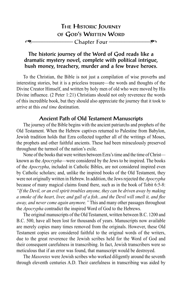#### The historic journey of the Word of God reads like a dramatic mystery novel, complete with political intrigue, hush money, treachery, murder and a few brave heroes.

To the Christian, the Bible is not just a compilation of wise proverbs and interesting stories, but it is a priceless treasure—the words and thoughts of the Divine Creator Himself, and written by holy men of old who were moved by His Divine influence. (2 Peter 1:21) Christians should not only reverence the words of this incredible book, but they should also appreciate the journey that it took to arrive at this *end time* destination.

#### Ancient Path of Old Testament Manuscripts

The journey of the Bible begins with the ancient patriarchs and prophets of the Old Testament. When the Hebrew captives returned to Palestine from Babylon, Jewish tradition holds that Ezra collected together all of the writings of Moses, the prophets and other faithful ancients. These had been miraculously preserved throughout the turmoil of the nation's exile.

None of the books that were written between Ezra's time and the time of Christ known as the *Apocrypha*—were considered by the Jews to be inspired. The books of the *Apocrypha*, included in Catholic Bibles, are not considered inspired even by Catholic scholars; and, unlike the inspired books of the Old Testament, they were not originally written in Hebrew. In addition, the Jews rejected the *Apocrypha* because of many magical claims found there, such as in the book of Tobit 6:5-8: *"If the Devil, or an evil spirit troubles anyone, they can be driven away by making a smoke of the heart, liver, and gall of a fish...and the Devil will smell it, and flee away, and never come again anymore."* This and many other passages throughout the *Apocrypha* contradict the inspired Word of God to the Hebrews.

The original manuscripts of the Old Testament, written between B.C. 1200 and B.C. 500, have all been lost for thousands of years. Manuscripts now available are merely copies many times removed from the originals. However, these Old Testament copies are considered faithful to the original words of the writers, due to the great reverence the Jewish scribes held for the Word of God and their consequent carefulness in transcribing. In fact, Jewish transcribers were so meticulous that if an error was found, that manuscript would be destroyed.

The *Masoretes* were Jewish scribes who worked diligently around the seventh through eleventh centuries A.D. Their carefulness in transcribing was aided by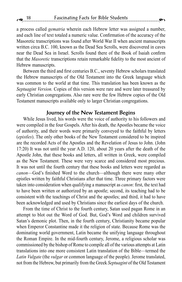a process called *gematria* wherein each Hebrew letter was assigned a number, and each line of text totaled a numeric value. Confirmation of the accuracy of the Masoretic transcriptions was found after World War II when ancient manuscripts written circa B.C. 100, known as the Dead Sea Scrolls, were discovered in caves near the Dead Sea in Israel. Scrolls found there of the Book of Isaiah confirm that the *Masoretic* transcriptions retain remarkable fidelity to the most ancient of Hebrew manuscripts.

Between the third and first centuries B.C., seventy Hebrew scholars translated the Hebrew manuscripts of the Old Testament into the Greek language which was common to the world at that time. This translation has been known as the *Septuagint Version.* Copies of this version were rare and were later treasured by early Christian congregations. Also rare were the few Hebrew copies of the Old Testament manuscripts available only to larger Christian congregations.

#### Journey of the New Testament Begins

While Jesus lived, his words were the voice of authority to his followers and were compiled in the four Gospels. After his death, the Apostles became the voice of authority, and their words were primarily conveyed to the faithful by letters (*epistles*). The only other books of the New Testament considered to be inspired are the recorded Acts of the Apostles and the Revelation of Jesus to John. (John 17:20) It was not until the year A.D. 120, about 20 years after the death of the Apostle John, that these books and letters, all written in Greek, were compiled as the New Testament. These were very scarce and considered most precious. It was not until the fourth century that these books and letters were regarded as *canon*—God's finished Word to the church—although there were many other epistles written by faithful Christians after that time. Three primary factors were taken into consideration when qualifying a manuscript as *canon*: first, the text had to have been written or authorized by an apostle; second, its teaching had to be consistent with the teachings of Christ and the apostles; and third, it had to have been acknowledged and used by Christians since the earliest days of the church.

From the time of Christ to the fourth century, Satan used pagan Rome in an attempt to blot out the Word of God. But, God's Word and children survived Satan's demonic plot. Then, in the fourth century, Christianity became popular when Emperor Constantine made it the religion of state. Because Rome was the dominating world government, Latin became the unifying language throughout the Roman Empire. In the mid-fourth century, Jerome, a religious scholar was commissioned by the bishop of Rome to compile all of the various attempts at Latin translations into one more consistent Latin translation of the Bible—termed the *Latin Vulgate* (the *vulgar* or common language of the people). Jerome translated, not from the Hebrew, but primarily from the Greek *Septuagint* of the Old Testament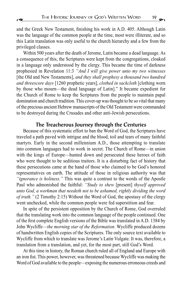and the Greek New Testament, finishing his work in A.D. 405. Although Latin was the language of the common people at the time, most were illiterate, and so this Latin translation was only useful to the church hierarchy and a few from the privileged classes.

Within 500 years after the death of Jerome, Latin became a dead language. As a consequence of this, the Scriptures were kept from the congregations, cloaked in a language only understood by the clergy. This became the time of darkness prophesied in Revelation 11:3 *"And I will give power unto my two witnesses*  [the Old and New Testaments], *and they shall prophesy a thousand two hundred and threescore days* [1260 prophetic years], *clothed in sackcloth* [clothing worn by those who mourn—the dead language of Latin]." It became expedient for the Church of Rome to keep the Scriptures from the people to maintain papal domination and church tradition. This cover-up was thought to be so vital that many of the precious ancient Hebrew manuscripts of the Old Testament were commanded to be destroyed during the Crusades and other anti-Jewish persecutions.

#### The Treacherous Journey through the Centuries

Because of this systematic effort to ban the Word of God, the Scriptures have traveled a path paved with intrigue and the blood, toil and tears of many faithful martyrs. Early in the second millennium A.D., those attempting to translate into common languages had to work in secret. The Church of Rome—in union with the kings of Europe—hunted down and persecuted these heroes of faith who were thought to be seditious traitors. It is a disturbing fact of history that these persecutions came at the hand of those who claimed to be God's honored representatives on earth. The attitude of those in religious authority was that *"ignorance is holiness."* This was quite a contrast to the words of the Apostle Paul who admonished the faithful: *"Study to shew* [present] *thyself approved unto God, a workman that needeth not to be ashamed, rightly dividing the word of truth."* (2 Timothy 2:15) Without the Word of God, the apostasy of the clergy went unchecked, while the common people were fed superstition and fear.

In spite of the persistent opposition by the Church of Rome, God overruled that the translating work into the common language of the people continued. One of the first complete English versions of the Bible was translated in A.D. 1384 by John Wycliffe—*the morning star of the Reformation.* Wycliffe produced dozens of handwritten English copies of the Scriptures. The only source text available to Wycliffe from which to translate was Jerome's Latin Vulgate. It was, therefore, a translation from a translation, and yet, for the most part, still God's Word.

At this time in history, the Roman church ruled all of England and Europe with an iron fist. This power, however, was threatened because Wycliffe was making the Word of God available to the people—exposing the numerous erroneous creeds and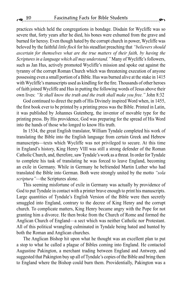practices which held the congregations in bondage. Disdain for Wycliffe was so severe that, forty years after he died, his bones were exhumed from the grave and burned for heresy. Even though hated by the corrupt church in power, Wycliffe was beloved by the faithful *little flock* for his steadfast preaching that *"believers should ascertain for themselves what are the true matters of their faith, by having the Scriptures in a language which all may understand."* Many of Wycliffe's followers, such as Jan Hus, actively promoted Wycliffe's mission and spoke out against the tyranny of the corrupt Roman Church which was threatening execution of anyone possessing even a small portion of a Bible. Hus was burned alive at the stake in 1415 with Wycliffe's manuscripts used as kindling for the fire. Thousands of other heroes of faith joined Wycliffe and Hus in putting the following words of Jesus above their own lives: *"Ye shall know the truth and the truth shall make you free."* John 8:32

God continued to direct the path of His Divinely inspired Word when, in 1455, the first book ever to be printed by a printing press was the Bible. Printed in Latin, it was published by Johannes Gutenberg, the inventor of movable type for the printing press. By His providence, God was preparing for the spread of His Word into the hands of those who longed to know His truth.

In 1534, the great English translator, William Tyndale completed his work of translating the Bible into the English language from certain Greek and Hebrew manuscripts—texts which Wycliffe was not privileged to secure. At this time in England's history, King Henry VIII was still a strong defender of the Roman Catholic Church, and, therefore, saw Tyndale's work as a threat. In order for Tyndale to complete his task of translating he was forced to leave England, becoming an exile in Germany. While in Germany he befriended Martin Luther who had translated the Bible into German. Both were strongly united by the motto *"sola scriptura"*—the Scriptures alone.

This seeming misfortune of exile in Germany was actually by providence of God to put Tyndale in contact with a printer brave enough to print his manuscripts. Large quantities of Tyndale's English Version of the Bible were then secretly smuggled into England, contrary to the decree of King Henry and the corrupt church. To complicate matters, King Henry became angry with the Pope for not granting him a divorce. He then broke from the Church of Rome and formed the Anglican Church of England—a sect which was neither Catholic nor Protestant. All of this political wrangling culminated in Tyndale being hated and hunted by both the Roman and Anglican churches.

The Anglican Bishop hit upon what he thought was an excellent plan to put a stop to what he called a plague of Bibles coming into England. He contacted Augustine Pakington, a merchant trading between England and Antwerp, and suggested that Pakington buy up all of Tyndale's copies of the Bible and bring them to England where the Bishop could burn them. Providentially, Pakington was a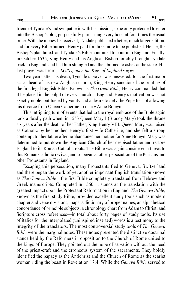friend of Tyndale's and sympathetic with his mission, so he only pretended to enter

into the Bishop's plot, purposefully purchasing every book at four times the usual price. With the money he received, Tyndale published a better, much larger edition, and for every Bible burned, Henry paid for three more to be published. Hence, the Bishop's plan failed, and Tyndale's Bible continued to pour into England. Finally, in October 1536, King Henry and his Anglican Bishop forcibly brought Tyndale back to England, and had him strangled and then burned to ashes at the stake. His last prayer was heard, *"LORD, open the King of England's eyes."*

Two years after his death, Tyndale's prayer was answered, for the first major act as head of his new Anglican church, King Henry sanctioned the printing of the first legal English Bible. Known as *The Great Bible,* Henry commanded that it be placed in the pulpit of every church in England. Henry's motivation was not exactly noble, but fueled by vanity and a desire to defy the Pope for not allowing his divorce from Queen Catherine to marry Anne Boleyn.

This intriguing turn of events that led to the royal embrace of the Bible again took a deadly path when, in 1553 Queen Mary I (Bloody Mary) took the throne six years after the death of her Father, King Henry VIII. Queen Mary was raised as Catholic by her mother, Henry's first wife Catherine, and she felt a strong contempt for her father after he abandoned her mother for Anne Boleyn. Mary was determined to put down the Anglican Church of her despised father and restore England to its Roman Catholic roots. The Bible was again considered a threat to this Roman Catholic revival, and so began another persecution of the Puritans and other Protestants in England.

Escaping this persecution, many Protestants fled to Geneva, Switzerland and there began the work of yet another important English translation known as *The Geneva Bible*—the first Bible completely translated from Hebrew and Greek manuscripts. Completed in 1560, it stands as the translation with the greatest impact upon the Protestant Reformation in England. *The Geneva Bible,*  known as the first study Bible, provided excellent study tools such as modern chapter and verse divisions, maps, a dictionary of proper names, an alphabetical concordance of principle subjects, a chronology chart from Adam to Christ, and Scripture cross references—in total about forty pages of study tools. Its use of italics for the interpolated (uninspired inserted) words is a testimony to the integrity of the translators. The most controversial study tools of *The Geneva Bible* were the marginal notes. These notes presented the distinctive doctrinal stance held by the Reformers in opposition to the Church of Rome united to the kings of Europe. They pointed out the hope of salvation without the need of the priest-craft and the erroneous system of the sacraments. They boldly identified the papacy as the Antichrist and the Church of Rome as the scarlet woman riding the beast in Revelation 17:4. While the *Geneva Bible* served to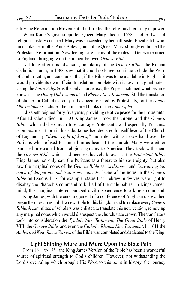edify the Reformation Movement, it infuriated the religious hierarchy in power.

When Rome's great supporter, Queen Mary, died in 1558, another twist of religious history occurred. Mary was succeeded by her half-sister Elizabeth I, who, much like her mother Anne Boleyn, but unlike Queen Mary, strongly embraced the Protestant Reformation. Now feeling safe, many of the exiles in Geneva returned to England, bringing with them their beloved *Geneva Bible.*

Not long after this advancing popularity of the *Geneva Bible*, the Roman Catholic Church, in 1582, saw that it could no longer continue to hide the Word of God in Latin, and concluded that, if the Bible was to be available in English, it would provide its own official translation complete with its own marginal notes. Using the *Latin Vulgate* as the only source text, the Pope sanctioned what became known as the *Douay Old Testament* and *Rheims New Testament*. Still the translation of choice for Catholics today, it has been rejected by Protestants, for the *Douay Old Testament* includes the uninspired books of the *Apocrypha*.

Elizabeth reigned forty-five years, providing relative peace for the Protestants. After Elizabeth died, in 1603 King James I took the throne, and the *Geneva Bible*, which did so much to encourage Protestants, and especially Puritans, soon became a thorn in his side. James had declared himself head of the Church of England by *"divine right of kings,"* and ruled with a heavy hand over the Puritans who refused to honor him as head of the church. Many were either banished or escaped from religious tyranny to America. They took with them the *Geneva Bible* which had been exclusively known as the *Protestant Bible.*  King James not only saw the Puritans as a threat to his sovereignty, but also saw the marginal notes of the *Geneva Bible* as *"seditious"* and *"savouring too much of dangerous and traitorous conceits."* One of the notes in the *Geneva Bible* on Exodus 1:17, for example, states that Hebrew midwives were right to disobey the Pharaoh's command to kill all of the male babies. In Kings James' mind, this marginal note encouraged civil disobedience to a king's command.

King James, with the encouragement of a conference of Anglican clergy, then began the quest to establish a new Bible for his kingdom and to replace every *Geneva Bible*. A committee of scholars was enlisted to translate this new version, removing any marginal notes which would disrespect the church/state crown. The translators took into consideration the *Tyndale New Testament, The Great Bible* of Henry VIII, the *Geneva Bible,* and even the *Catholic Rheims New Testament*. In 1611 the *Authorized King James Version* of the Bible was completed and dedicated to the King.

#### Light Shining More and More Upon the Bible Path

From 1611 to 1881 the King James Version of the Bible has been a wonderful source of spiritual strength to God's children. However, not withstanding the Lord's overruling which brought His Word to this point in history, the journey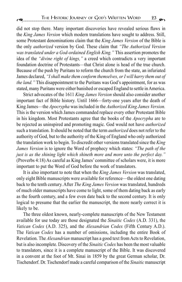did not stop there. Many important discoveries have revealed serious flaws in the *King James Version* which modern translations have sought to address. Still, some Protestant denominations claim that the *King James Version* of the Bible is the only *authorized* version by God. These claim that *"The Authorized Version was translated under a God-ordained English King."* This assertion promotes the idea of the *"divine right of kings,"* a creed which contradicts a very important foundation doctrine of Protestants—that Christ alone is head of the true church. Because of the push by Puritans to reform the church from the state, an infuriated James declared, *"I shall make them conform themselves, or I will harry them out of the land."* This disappointment to the Puritans was God's appointment, for as was stated, many Puritans were either banished or escaped England to settle in America.

Strict advocates of the 1611 *King James Version* should also consider another important fact of Bible history. Until 1666—forty-one years after the death of King James—the *Apocrypha* was included in the *Authorized King James Version.*  This is the version which James commanded replace every other Protestant Bible in his kingdom. Most Protestants agree that the books of the *Apocrypha* are to be rejected as uninspired and promoting magic. God would not have *authorized* such a translation. It should be noted that the term *authorized* does not refer to the authority of God, but to the authority of the King of England who only authorized the translation work to begin. To discredit other versions translated since the *King James Version* is to ignore the Word of prophecy which states: *"The path of the just is as the shining light which shineth more and more unto the perfect day."*  (Proverbs 4:18) As careful as King James' committee of scholars were, it is more important to put the Word of God before the work of translators.

It is also important to note that when the *King James Version* was translated, only eight Bible manuscripts were available for reference—the oldest one dating back to the tenth century. After *The King James Version* was translated, hundreds of much older manuscripts have come to light, some of them dating back as early as the fourth century, and a few even date back to the second century. It is only logical to presume that the earlier the manuscript, the more nearly correct it is likely to be.

The three oldest known, nearly-complete manuscripts of the New Testament available for use today are those designated the *Sinaitic Codex* (A.D. 331), the *Vatican Codex* (A.D. 325), and the *Alexandrian Codex* (Fifth Century A.D.). The *Vatican Codex* has a number of omissions, including the entire Book of Revelation. The *Alexandrian* manuscript has a good text from Acts to Revelation, but is also incomplete. Discovery of the *Sinaitic Codex* has been the most valuable to translators, since it is a complete manuscript of the Bible. It was discovered in a convent at the foot of Mt. Sinai in 1859 by the great German scholar, Dr. Tischendorf. Dr. Tischendorf made a careful comparison of the *Sinaitic* manuscript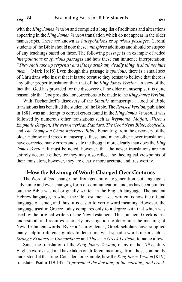with the *King James Version* and compiled a long list of additions and alterations appearing in the *King James Version* translation which do not appear in the older manuscripts. These are known as *interpolations* or *spurious passages*. Careful students of the Bible should note these *uninspired* additions and should be suspect of any teachings based on these. The following passage is an example of added *interpolations* or *spurious passages* and how these can influence interpretation: *"They shall take up serpents; and if they drink any deadly thing, it shall not hurt them."* (Mark 16:18) Even though this passage is *spurious*, there is a small sect of Christians who insist that it is true because they refuse to believe that there is any other proper translation than that of the *King James Version.* In view of the fact that God has provided for the discovery of the older manuscripts, it is quite reasonable that God provided for corrections to be made to the *King James Version.* 

With Tischendorf's discovery of the *Sinaitic* manuscript, a flood of Bible translations has benefited the student of the Bible. The *Revised Version,* published in 1881, was an attempt to correct errors found in the *King James Version.* It was followed by numerous other translations such as *Weymouth, Moffatt, Wilson's Emphatic Diaglott, The New American Standard, The Good News Bible, Scofield's,*  and *The Thompson Chain Reference Bible.* Benefiting from the discovery of the older Hebrew and Greek manuscripts, these, and many other newer translations have corrected many errors and state the thought more clearly than does the *King James Version.* It must be noted, however, that the newer translations are not entirely accurate either, for they may also reflect the theological viewpoints of their translators, however, they are clearly more accurate and trustworthy.

#### How the Meaning of Words Changed Over Centuries

The Word of God changes not from generation to generation, but language is a dynamic and ever-changing form of communication, and, as has been pointed out, the Bible was not originally written in the English language. The ancient Hebrew language, in which the Old Testament was written, is now the official language of Israel, and thus, it is easier to verify word meaning. However, the language used in Greece today compares only to a degree with that which was used by the original writers of the New Testament. Thus, ancient Greek is less understood, and requires scholarly investigation to determine the meaning of New Testament words. By God's providence, Greek scholars have supplied many helpful reference guides to determine what specific words mean such as *Strong's Exhaustive Concordance* and *Thayer's Greek Lexicon*, to name a few.

Since the translation of the *King James Version*, many of the 17<sup>th</sup> century English words used in it have taken on different meanings from those commonly understood at that time. Consider, for example, how the *King James Version* (KJV) translates Psalm 119:147: *"I prevented the dawning of the morning, and cried:*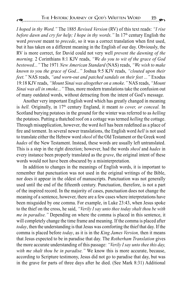*I hoped in thy Word."* The 1885 *Revised Version* (RV) of this text reads: *"I rise before dawn and cry for help; I hope in thy words.* " In 17<sup>th</sup> century English the word *prevent* meant to *precede*, so it was a correct translation when first used, but it has taken on a different meaning in the English of our day. Obviously, the RV is more correct, for David could not very well *prevent the dawning of the morning.* 2 Corinthians 8:1 KJV reads, *"We do you to wit of the grace of God bestowed..."* The 1971 *New American Standard* (NAS) reads, *"We wish to make known to you the grace of God..."* Joshua 9:5 KJV reads, *"clouted upon their feet."* NAS reads, *"and worn-out and patched sandals on their feet ..."* Exodus 19:18 KJV reads, *"Mount Sinai was altogether on a smoke."* NAS reads, *"Mount Sinai was all in smoke..."* Thus, more modern translations take the confusion out of many outdated words, without detracting from the intent of God's message.

Another very important English word which has greatly changed in meaning is *hell.* Originally, in 17th century England, it meant *to cover, or conceal.* In Scotland burying potatoes in the ground for the winter was referred to as *helling* the potatoes. Putting a thatched roof on a cottage was termed *helling* the cottage. Through misapplication, however, the word *hell* has been redefined as a place of fire and torment. In several newer translations, the English word *hell* is not used to translate either the Hebrew word *sheol* of the Old Testament or the Greek word *hades* of the New Testament. Instead, these words are usually left untranslated. This is a step in the right direction; however, had the words *sheol* and *hades* in every instance been properly translated as the *grave*, the original intent of these words would not have been obscured by a misinterpretation.

In addition to changes in the meanings of English words, it is important to remember that punctuation was not used in the original writings of the Bible, nor does it appear in the oldest of manuscripts. Punctuation was not generally used until the end of the fifteenth century. Punctuation, therefore, is not a part of the inspired record. In the majority of cases, punctuation does not change the meaning of a sentence, however, there are a few cases where interpretations have been misguided by one comma. For example, in Luke 23:43, when Jesus spoke to the thief on the cross, he said, *"Verily I say unto thee today shalt thou be with me in paradise."* Depending on where the comma is placed in this sentence, it will completely change the time frame and meaning. If the comma is placed after *today*, then the understanding is that Jesus was comforting the thief that day. If the comma is placed before *today*, as it is in the *King James Version,* then it means that Jesus expected to be in paradise that day. The *Rotherham Translation* gives the more accurate understanding of this passage: *"Verily I say unto thee this day, with me shalt thou be in paradise."* We know this is more accurate, because, according to Scripture testimony, Jesus did not go to paradise that day, but was in the grave for parts of three days after he died. (See Mark 8:31) Additional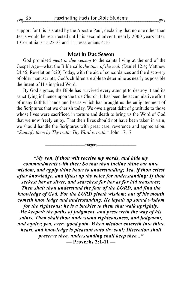support for this is stated by the Apostle Paul, declaring that no one other than Jesus would be resurrected until his second advent, nearly 2000 years later. 1 Corinthians 15:22-23 and 1 Thessalonians 4:16

#### Meat in Due Season

God promised *meat in due season* to the saints living at the end of the Gospel Age—what the Bible calls *the time of the end.* (Daniel 12:4; Matthew 24:45; Revelation 3:20) Today, with the aid of concordances and the discovery of older manuscripts, God's children are able to determine as nearly as possible the intent of His inspired Word.

By God's grace, the Bible has survived every attempt to destroy it and its sanctifying influence upon the true Church. It has been the accumulative effort of many faithful hands and hearts which has brought us the enlightenment of the Scriptures that we cherish today. We owe a great debt of gratitude to those whose lives were sacrificed in torture and death to bring us the Word of God that we now freely enjoy. That their lives should not have been taken in vain, we should handle the Scriptures with great care, reverence and appreciation. *"Sanctify them by Thy truth: Thy Word is truth."* John 17:17

–––––––––––––––='–––––––––––––––

*"My son, if thou wilt receive my words, and hide my commandments with thee; So that thou incline thine ear unto wisdom, and apply thine heart to understanding; Yea, if thou criest after knowledge, and liftest up thy voice for understanding; If thou seekest her as silver, and searchest for her as for hid treasures; Then shalt thou understand the fear of the LORD, and find the knowledge of God. For the LORD giveth wisdom: out of his mouth cometh knowledge and understanding. He layeth up sound wisdom for the righteous: he is a buckler to them that walk uprightly. He keepeth the paths of judgment, and preserveth the way of his saints. Then shalt thou understand righteousness, and judgment, and equity; yea, every good path. When wisdom entereth into thine heart, and knowledge is pleasant unto thy soul; Discretion shall preserve thee, understanding shall keep thee..."* **— Proverbs 2:1-11 —**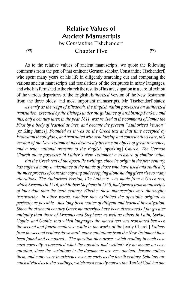

As to the relative values of ancient manuscripts, we quote the following comments from the pen of that eminent German scholar, Constantine Tischendorf, who spent many years of his life in diligently searching out and comparing the various ancient manuscripts and translations of the Scriptures in many languages, and who has furnished to the church the results of his investigation in a careful exhibit of the various departures of the English *Authorized* Version of the New Testament from the three oldest and most important manuscripts. Mr. Tischendorf states:

*As early as the reign of Elizabeth, the English nation possessed an authorized translation, executed by the Bishops under the guidance of Archbishop Parker; and this, half a century later, in the year 1611, was revised at the command of James the First by a body of learned divines, and became the present "Authorized Version"*  [or King James]*. Founded as it was on the Greek text at that time accepted by Protestant theologians, and translated with scholarship and conscientious care, this version of the New Testament has deservedly become an object of great reverence, and a truly national treasure to the English* [speaking] *Church. The German Church alone possesses in Luther's New Testament a treasure of similar value.*

*But the Greek text of the apostolic writings, since its origin in the first century, has suffered many a mischance at the hands of those who have used and studied it; the mere process of constant copying and recopying alone having given rise to many alterations. The Authorized Version, like Luther's, was made from a Greek text, which Erasmus in 1516, and Robert Stephens in 1550, had formed from manuscripts of later date than the tenth century. Whether those manuscripts were thoroughly trustworthy—in other words, whether they exhibited the apostolic original as perfectly as possible—has long been matter of diligent and learned investigation. Since the sixteenth century Greek manuscripts have been discovered of far greater antiquity than those of Erasmus and Stephens; as well as others in Latin, Syriac, Coptic, and Gothic, into which languages the sacred text was translated between the second and fourth centuries; while in the works of the [early Church] Fathers from the second century downward, many quotations from the New Testament have been found and compared... The question then arose, which reading in each case most correctly represented what the apostles had written? By no means an easy question, since the variations in the documents are very ancient. Jerome notices them, and many were in existence even as early as the fourth century. Scholars are much divided as to the readings, which most exactly convey the Word of God, but one*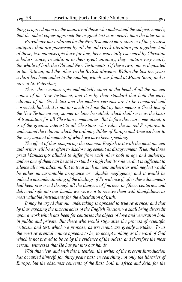*thing is agreed upon by the majority of those who understand the subject, namely, that the oldest copies approach the original text more nearly than the later ones.*

*Providence has ordained for the New Testament more sources of the greatest antiquity than are possessed by all the old Greek literature put together. And of these, two manuscripts have for long been especially esteemed by Christian scholars, since, in addition to their great antiquity, they contain very nearly the whole of both the Old and New Testaments. Of these two, one is deposited in the Vatican, and the other in the British Museum. Within the last ten years a third has been added to the number, which was found at Mount Sinai, and is now at St. Petersburg.*

*These three manuscripts undoubtedly stand at the head of all the ancient copies of the New Testament, and it is by their standard that both the early editions of the Greek text and the modern versions are to be compared and corrected. Indeed, it is not too much to hope that by their means a Greek text of the New Testament may sooner or later be settled, which shall serve as the basis of translation for all Christian communities. But before this can come about, it is of the greatest interest to all Christians who value the sacred Scriptures, to understand the relation which the ordinary Bibles of Europe and America bear to the very ancient documents of which we have been speaking.*

*The effect of thus comparing the common English text with the most ancient authorities will be as often to disclose agreement as disagreement. True, the three great Manuscripts alluded to differ from each other both in age and authority, and no one of them can be said to stand so high that its sole verdict is sufficient to silence all contradiction. But to treat such ancient authorities with neglect would be either unwarrantable arrogance or culpable negligence; and it would be indeed a misunderstanding of the dealings of Providence if, after these documents had been preserved through all the dangers of fourteen or fifteen centuries, and delivered safe into our hands, we were not to receive them with thankfulness as most valuable instruments for the elucidation of truth.*

*It may be urged that our undertaking is opposed to true reverence; and that by thus exposing the inaccuracies of the English Version, we shall bring discredit upon a work which has been for centuries the object of love and veneration both in public and private. But those who would stigmatize the process of scientific criticism and test, which we propose, as irreverent, are greatly mistaken. To us the most reverential course appears to be, to accept nothing as the word of God which is not proved to be so by the evidence of the oldest, and therefore the most certain, witnesses that He has put into our hands.*

*With this view, and with this intention, the writer of the present Introduction has occupied himself, for thirty years past, in searching not only the libraries of Europe, but the obscurest convents of the East, both in Africa and Asia, for the*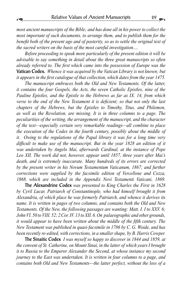*most ancient manuscripts of the Bible; and has done all in his power to collect the most important of such documents, to arrange them, and to publish them for the benefit both of the present age and of posterity, so as to settle the original text of the sacred writers on the basis of the most careful investigation....*

*Before proceeding to speak more particularly of the present edition it will be advisable to say something in detail about the three great manuscripts so often already referred to. The first which came into the possession of Europe was the*  Vatican Codex. *Whence it was acquired by the Vatican Library is not known; but it appears in the first catalogue of that collection, which dates from the year 1475.*

*The manuscript embraces both the Old and New Testaments. Of the latter, it contains the four Gospels, the Acts, the seven Catholic Epistles, nine of the Pauline Epistles, and the Epistle to the Hebrews as far as IX. 14, from which verse to the end of the New Testament it is deficient; so that not only the last chapters of the Hebrews, but the Epistles to Timothy, Titus, and Philemon, as well as the Revelation, are missing. It is in three columns to a page. The peculiarities of the writing, the arrangement of the manuscript, and the character of the text—especially certain very remarkable readings—all combine to place the execution of the Codex in the fourth century, possibly about the middle of it. Owing to the regulations of the Papal library it was for a long time very difficult to make use of the manuscript. But in the year 1828 an edition of it was undertaken by Angelo Mai, afterwards Cardinal, at the instance of Pope Leo XII. The work did not, however, appear until 1857, three years after Mai's death, and is extremely inaccurate. Many hundreds of its errors are corrected by the present writer in his Novum Testamentum Vaticanum, 1867; and further corrections were supplied by the facsimile edition of Vercellone and Cozza, 1868, which are included in the Appendix Novi Testamenti Vaticani, 1869.*

The Alexandrine Codex *was presented to King Charles the First in 1628 by Cyril Lucar, Patriarch of Constantinople, who had himself brought it from Alexandria, of which place he was formerly Patriarch, and whence it derives its name. It is written in pages of two columns, and contains both the Old and New Testaments. Of the New, the following passages are wanting: Matt. I. I to XXV. 6; John VI. 50 to VIII. 52; 2 Cor. IV. 13 to XII. 6. On palaeographic and other grounds, it would appear to have been written about the middle of the fifth century. The New Testament was published in quasi-facsimile in 1786 by C. G. Woide, and has been recently re-edited, with corrections, in a smaller shape, by B. Harris Cowper.*

The Sinaitic Codex *I was myself so happy to discover in 1844 and 1859, at the convent of St. Catherine, on Mount Sinai, in the latter of which years I brought it to Russia to the Emperor Alexander the Second, at whose instance my second journey to the East was undertaken. It is written in four columns to a page, and contains both Old and New Testaments—the latter perfect, without the loss of a*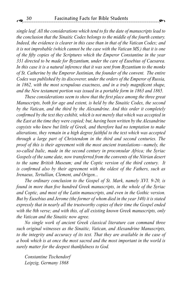*single leaf. All the considerations which tend to fix the date of manuscripts lead to the conclusion that the Sinaitic Codex belongs to the middle of the fourth century. Indeed, the evidence is clearer in this case than in that of the Vatican Codex; and it is not improbable (which cannot be the case with the Vatican MS.) that it is one of the fifty copies of the Scriptures which the Emperor Constantine in the year 331 directed to be made for Byzantium, under the care of Eusebius of Caesarea. In this case it is a natural inference that it was sent from Byzantium to the monks of St. Catherine by the Emperor Justinian, the founder of the convent. The entire Codex was published by its discoverer, under the orders of the Emperor of Russia,*  in 1862, with the most scrupulous exactness, and in a truly magnificent shape, *and the New testament portion was issued in a portable form in 1863 and 1865.*

*These considerations seem to show that the first place among the three great Manuscripts, both for age and extent, is held by the Sinaitic Codex, the second by the Vatican, and the third by the Alexandrine. And this order it completely confirmed by the text they exhibit, which is not merely that which was accepted in the East at the time they were copied; but, having been written by the Alexandrine copyists who knew but little of Greek, and therefore had no temptation to make alterations, they remain in a high degree faithful to the text which was accepted through a large part of Christendom in the third and second centuries. The proof of this is their agreement with the most ancient translations—namely, the so-called Italic, made in the second century in proconsular Africa; the Syriac Gospels of the same date, now transferred from the convents of the Nitrian desert to the same British Museum; and the Coptic version of the third century. It is confirmed also by their agreement with the oldest of the Fathers, such as Irenaeus, Tertullian, Clement, and Origen...*

*The ordinary conclusion to the Gospel of St. Mark, namely XVI. 9-20, is found in more than five hundred Greek manuscripts, in the whole of the Syriac and Coptic, and most of the Latin manuscripts, and even in the Gothic version. But by Eusebius and Jerome (the former of whom died in the year 340) it is stated expressly that in nearly all the trustworthy copies of their time the Gospel ended with the 8th verse; and with this, of all existing known Greek manuscripts, only the Vatican and the Sinaitic now agree.*

*No single work of ancient Greek classical literature can command three such original witnesses as the Sinaitic, Vatican, and Alexandrine Manuscripts, to the integrity and accuracy of its text. That they are available in the case of a book which is at once the most sacred and the most important in the world is surely matter for the deepest thankfulness to God.*

*Constantine Tischendorf Leipzig, Germany 1868*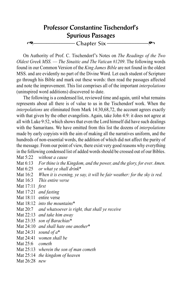## Professor Constantine Tischendorf's Spurious Passages

=–––––––––––––––– Chapter Six ––––––––––––––––'

On Authority of Prof. C. Tischendorf's Notes on *The Readings of the Two Oldest Greek MSS.* — *The Sinaitic and The Vatican #1209*. The following words found in our Common Version of the *King James Bible* are not found in the oldest MSS. and are evidently no part of the Divine Word. Let each student of Scripture go through his Bible and mark out these words: then read the passages affected and note the improvement. This list comprises all of the important *interpolations* (uninspired word additions) discovered to date.

The following is a condensed list, reviewed time and again, until what remains represents about all there is of value to us in the Tischendorf work. When the *interpolations* are eliminated from Mark 14:30,68,72, the account agrees exactly with that given by the other evangelists. Again, take John 4:9: it does not agree at all with Luke 9:52, which shows that even the Lord himself did have such dealings with the Samaritans. We have omitted from this list the dozens of *interpolations* made by early copyists with the aim of making all the narratives uniform, and the hundreds of non-essential words, the addition of which did not affect the purity of the message. From our point of view, there exist very good reasons why everything in the following condensed list of added words should be crossed out of our Bibles.

Mat 5:22 *without a cause*

- Mat 6:13 *For thine is the Kingdom, and the power, and the glory, for ever. Amen.*
- Mat 6:25 *or what ye shall drink*\*
- Mat 16:2 *When it is evening, ye say, it will be fair weather: for the sky is red.*
- Mat 16:3 *This entire verse*
- Mat 17:11 *first*
- Mat 17:21 *and fasting*
- Mat 18:11 entire verse
- Mat 18:12 *into the mountains*\*
- Mat 20:7 *and whatsoever is right, that shall ye receive*
- Mat 22:13 *and take him away*
- Mat 23:35 *son of Barachias*\*
- Mat 24:10 *and shall hate one another*\*
- Mat 24:31 *sound of a*\*
- Mat 24:41 *women shall be*
- Mat 25:6 *cometh*
- Mat 25:13 *wherein the son of man cometh*
- Mat 25:14 *the kingdom of heaven*
- Mat 26:28 *new*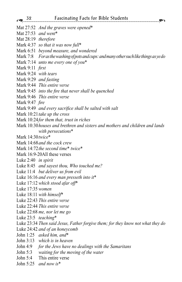- Mat 27:52 *And the graves were opened*\*
- Mat 27:53 *and went*\*
- Mat 28:19 *therefore*
- Mark 4:37 *so that it was now full*\*
- Mark 6:51 *beyond measure, and wondered*
- Mark 7:8 *For as the washing of pots and cups: and many other such like things as ye do*
- Mark 7:14 *unto me every one of you*\*
- Mark 9:11 *first*
- Mark 9:24 *with tears*
- Mark 9:29 *and fasting*
- Mark 9:44 *This entire verse*
- Mark 9:45 *into the fire that never shall be quenched*
- Mark 9:46 *This entire verse*
- Mark 9:47 *fire*
- Mark 9:49 *and every sacrifice shall be salted with salt*
- Mark 10:21*take up the cross*
- Mark 10:24*for them that, trust in riches*
- Mark 10:30*houses and brethren and sisters and mothers and children and lands with persecutions*\*
- Mark 14:30*twice*\*
- Mark 14:68*and the cock crew*
- Mark 14:72*the second time*\* *twice*\*
- Mark 16:9-20All these verses
- Luke 2:40 *in spirit*
- Luke 8:45 *and sayest thou, Who touched me?*
- Luke 11:4 *but deliver us from evil*
- Luke 16:16 *and every man presseth into it*\*
- Luke 17:12 *which stood afar off*\*
- Luke 17:35 *women*
- Luke 18:11 *with himself*\*
- Luke 22:43 *This entire verse*
- Luke 22:44 *This entire verse*
- Luke 22:68 *me, nor let me go*
- Luke 23:5 *teaching*\*
- Luke 23:34 *Then said Jesus, Father forgive them; for they know not what they do*
- Luke 24:42 *and of an honeycomb*
- John 1:25 *asked him, and*\*
- John 3:13 *which is in heaven*
- John 4:9 *for the Jews have no dealings with the Samaritans*
- John 5:3 *waiting for the moving of the water*
- John 5:4 This entire verse
- John 5:25 *and now is*\*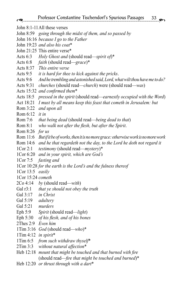John 8:1-11All these verses

- John 8:59 *going through the midst of them, and so passed by*
- John 16:16 *because I go to the Father*
- John 19:23 *and also his coat*\*
- John 21:25 This entire verse\*
- Acts 6:3 *Holy Ghost and* (should read—*spirit of*)\*
- Acts 6:8 *faith* (should read—*grace*)\*
- Acts 8:37 *This entire verse*
- Acts 9:5 *it is hard for thee to kick against the pricks*.
- Acts 9:6 *And he trembling and astonished said, Lord, what wilt thou have me to do?*
- Acts 9:31 *churches* (should read—*church*) were (should read—*was*)
- Acts 15:32 *and confirmed them*\*
- Acts 18:5 *pressed in the spirit* (should read—*earnestly occupied with the Word*)
- Act 18:21 *I must by all means keep this feast that cometh in Jerusalem: but*
- Rom 3:22 *and upon all*
- Rom 6:12 *it in*
- Rom 7:6 *that being dead* (should read—*being dead to that*)
- Rom 8:1 *who walk not after the flesh, but after the Spirit*.
- Rom 8:26 *for us*
- Rom 11:6 *But if it be of works, then it is no more grace: otherwise work is no more work*
- Rom 14:6 *and he that regardeth not the day, to the Lord he doth not regard it*
- 1Cor 2:1 *testimony* (should read—*mystery*)\*
- 1Cor 6:20 *and in your spirit, which are God's*
- 1Cor 7:5 *fasting and*
- 1Cor 10:28 *for the earth is the Lord's and the fulness thereof*
- 1Cor 13:5 *easily*

1Cor 15:24 *cometh*

- 2Co 4:14 *by* (should read—*with*)
- Gal r3:1 *that ye should not obey the truth*
- Gal 3:17 *in Christ*
- Gal 5:19 *adultery*
- Gal 5:21 *murders*
- Eph 5:9 *Spirit* (should read—*light*)
- Eph 5:30 *of his flesh, and of his bones*
- 2Thes 2:9 *Even him*
- 1Tim 3:16 *God* (should read—*who*)\*
- 1Tim 4:12 *in spirit*\*
- 1Tim 6:5 *from such withdraw thyself*\*
- 2Tim 3:3 *without natural affection*\*
- Heb 12:18 *mount that might be touched and that burned with fire* (should read—*fire that might be touched and burned*)\*
- Heb 12:20 *or thrust through with a dart*\*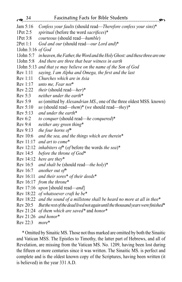| $\sqrt{34}$       | <b>Fascinating Facts for Bible Students</b><br>谷つ                                |
|-------------------|----------------------------------------------------------------------------------|
| Jam 5:16          | Confess your faults (should read-Therefore confess your sins)*                   |
| 1Pet 2:5          | spiritual (before the word sacrifices)*                                          |
| 1Pet 3:8          | courteous (should read—humble)                                                   |
| 2Pet 1:1          | God and our (should read—our Lord and)*                                          |
| 1John 3:16 of God |                                                                                  |
| 1John 5:7         | in heaven, the Father, the Word and the Holy Ghost: and these three are one      |
| $1$ John $5:8$    | And there are three that bear witness in earth                                   |
| 1John 5:13        | and that ye may believe on the name of the Son of God                            |
| Rev 1:11          | saying, I am Alpha and Omega, the first and the last                             |
| Rev 1:11          | Churches which are in Asia                                                       |
| Rev 1:17          | unto me, Fear not*                                                               |
| Rev 2:22          | their (should read-her)*                                                         |
| Rev 5:3           | neither under the earth*                                                         |
| Rev 5:9           | us (omitted by <i>Alexandrian MS.</i> , one of the three oldest MSS. known)      |
| Rev 5:10          | us (should read—them)* (we should read—they)*                                    |
| Rev 5:13          | and under the earth*                                                             |
| Rev 6:2           | to conquer (should read-he conquered)*                                           |
| Rev 9:4           | neither any green thing*                                                         |
| Rev 9:13          | the four horns of*                                                               |
| Rev 10:6          | and the sea, and the things which are therein*                                   |
| Rev 11:17         | and art to come*                                                                 |
| Rev 12:12         | inhabiters of* (of before the words the sea)*                                    |
| Rev 14:5          | before the throne of God*                                                        |
| Rev 14:12         | here are they*                                                                   |
| Rev 16:5          | and shalt be (should read—the holy)*                                             |
| Rev 16:7          | another out of*                                                                  |
| Rev 16:11         | and their sores* of their deeds*                                                 |
| Rev 16:17         | from the throne*                                                                 |
| Rev 17:16         | upon [should read—and]                                                           |
| Rev 18:22         | of whatsoever craft he be*                                                       |
| Rev 18:22         | and the sound of a millstone shall be heard no more at all in thee*              |
| Rev 20:5          | But the rest of the dead lived not again until the thousand years were finished* |
| Rev 21:24         | of them which are saved* and honor*                                              |
| Rev 21:26         | and honor*                                                                       |

Rev 22:3 *more*\*

\* Omitted by Sinaitic MS. Those not thus marked are omitted by both the Sinaitic and Vatican MSS. The Epistles to Timothy, the latter part of Hebrews, and all of Revelation, are missing from the Vatican MS. No. 1209, having been lost during the fifteen or more centuries since it was written. The Sinaitic MS. is perfect and complete and is the oldest known copy of the Scriptures, having been written (it is believed) in the year 331 A.D.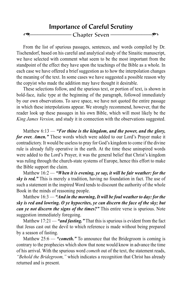## Importance of Careful Scrutiny Chapter Seven -

From the list of spurious passages, sentences, and words compiled by Dr. Tischendorf, based on his careful and analytical study of the Sinaitic manuscript, we have selected with comment what seem to be the most important from the standpoint of the effect they have upon the teachings of the Bible as a whole. In each case we have offered a brief suggestion as to how the interpolation changes the meaning of the text. In some cases we have suggested a possible reason why the copyist who made the addition may have thought it desirable.

These selections follow, and the spurious text, or portion of text, is shown in bold-face, italic type at the beginning of the paragraph, followed immediately by our own observations. To save space, we have not quoted the entire passage in which these interpolations appear. We strongly recommend, however, that the reader look up these passages in his own Bible, which will most likely be the *King James Version,* and study it in connection with the observations suggested.

Matthew 6:13 — *"For thine is the kingdom, and the power, and the glory, for ever. Amen."* These words which were added to our Lord's Prayer make it contradictory. It would be useless to pray for God's kingdom to come if the divine rule is already fully operative in the earth. At the time these uninspired words were added to the Lord's Prayer, it was the general belief that Christ's kingdom was ruling through the church-state systems of Europe, hence this effort to make the Bible support the claim.

Matthew 16:2 — *"When it is evening, ye say, it will be fair weather: for the sky is red."* This is merely a tradition, having no foundation in fact. The use of such a statement in the inspired Word tends to discount the authority of the whole Book in the minds of reasoning people.

Matthew 16:3 — *"And in the morning, It will be foul weather to day: for the sky is red and lowring. O ye hypocrites, ye can discern the face of the sky; but can ye not discern the signs of the times?"* This entire verse is spurious. Note suggestion immediately foregoing.

Matthew 17:21 — "*and fasting.*" That this is spurious is evident from the fact that Jesus cast out the devil to which reference is made without being prepared by a season of fasting.

Matthew 25:6 — "*cometh.*" To announce that the Bridegroom is coming is contrary to the prophecies which show that none would know in advance the time of his arrival. With the spurious word *cometh* out of the text, the statement reads,

*"Behold the Bridegroom,"* which indicates a recognition that Christ has already returned and is present.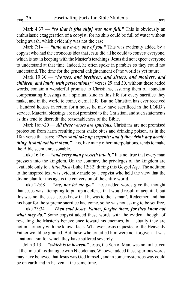Mark 4:37 — *"so that it [the ship] was now full."* This is obviously an enthusiastic exaggeration of a copyist, for no ship could be full of water without being awash, which evidently was not the case.

Mark 7:14 — "*unto me every one of you*," This was evidently added by a copyist who had the erroneous idea that Jesus did all he could to convert everyone, which is not in keeping with the Master's teachings. Jesus did not expect everyone to understand at that time. Indeed, he often spoke in parables so they could not understand. The time for the general enlightenment of the world is yet future.

Mark 10:30 — *"houses, and brethren, and sisters, and mothers, and children, and lands, with persecutions;"* Verses 29 and 30, without these added words, contain a wonderful promise to Christians, assuring them of abundant compensating blessings of a spiritual kind in this life for every sacrifice they make, and in the world to come, eternal life. But no Christian has ever received a hundred houses in return for a house he may have sacrificed in the LORD's service. Material blessings are not promised to the Christian, and such statements as this tend to discredit the reasonableness of the Bible.

Mark 16:9-20 — *All these verses are spurious.* Christians are not promised protection from harm resulting from snake bites and drinking poison, as in the 18th verse that says: *"They shall take up serpents; and if they drink any deadly thing, it shall not hurt them."* This, like many other interpolations, tends to make the Bible seem unreasonable.

Luke 16:16 — *"and every man presseth into it."* It is not true that every man presseth into the kingdom. On the contrary, the privileges of the kingdom are available only to a *little flock* (Luke 12:32) during this Gospel Age. The addition to the inspired text was evidently made by a copyist who held the view that the divine plan for this age is the conversion of the entire world.

Luke 22:68 — *"me, nor let me go."* These added words give the thought that Jesus was attempting to put up a defense that would result in acquittal, but this was not the case. Jesus knew that he was to die as man's Redeemer, and that his hour for the supreme sacrifice had come, so he was not asking to be set free.

Luke 23:34 — *"Then said Jesus, Father, forgive them; for they know not*  what they do." Some copyist added these words with the evident thought of revealing the Master's benevolence toward his enemies, but actually they are not in harmony with the known facts. Whatever Jesus requested of the Heavenly Father would be granted. But those who crucified him were not forgiven. It was a national sin for which they have suffered severely.

John 3:13 — *"which is in heaven."* Jesus, the Son of Man, was not in heaven at the time of his dialogue with Nicodemus. Whoever added these spurious words may have believed that Jesus was God himself, and in some mysterious way could be on earth and in heaven at the same time.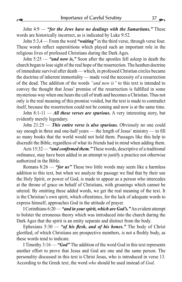John 4:9 — *"for the Jews have no dealings with the Samaritans."* These words are historically incorrect, as is indicated by Luke 9:52.

John 5:3,4 — From the word *"waiting"* in the third verse, through verse four. These words reflect superstitions which played such an important role in the religious lives of professed Christians during the Dark Ages.

John 5:25 — *"and now is,"* Soon after the apostles fell asleep in death the church began to lose sight of the real hope of the resurrection. The heathen doctrine of immediate survival after death — which, in professed Christian circles became the doctrine of inherent immortality — made void the necessity of a resurrection of the dead. The addition of the words *"and now is"* to this text is intended to convey the thought that Jesus' promise of the resurrection is fulfilled in some mysterious way when one hears the call of truth and becomes a Christian. Thus not only is the real meaning of this promise voided, but the text is made to contradict itself, because the resurrection could not be coming and now is at the same time.

John 8:1-11 — *All these verses are spurious*. A very interesting story, but evidently merely legendary.

John 21:25 — *This entire verse is also spurious.* Obviously no one could say enough in three and one-half years — the length of Jesus' ministry — to fill so many books that the world would not hold them. Passages like this help to discredit the Bible, regardless of what its friends had in mind when adding them.

Acts 15:32 — *"and confirmed them."* These words, descriptive of a traditional ordinance, may have been added in an attempt to justify a practice not otherwise authorized in the Bible.

Romans 8:26 — *"for us"* These two little words may seem like a harmless addition to this text, but when we analyze the passage we find that by their use the Holy Spirit, or power of God, is made to appear as a person who intercedes at the throne of grace on behalf of Christians, with groanings which cannot be uttered. By omitting these added words, we get the real meaning of the text. It is the Christian's own spirit, which oftentimes, for the lack of adequate words to express himself, approaches God in the attitude of prayer.

I Corinthians 6:20 — *"and in your spirit, which are God's."* An evident attempt to bolster the erroneous theory which was introduced into the church during the Dark Ages that the spirit is an entity separate and distinct from the body.

Ephesians 5:30 — *"of his flesh, and of his bones."* The body of Christ glorified, of which Christians are prospective members, is not a fleshly body, as these words tend to indicate.

I Timothy 3:16 — *"God"* The addition of the word God in this text represents another effort to prove that Jesus and God are one and the same person. The personality discussed in this text is Christ Jesus, who is introduced in verse 13. According to the Greek text, the word *who* should be used instead of *God*.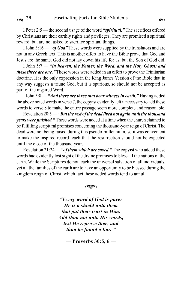I Peter 2:5 — the second usage of the word *"spiritual."* The sacrifices offered by Christians are their earthly rights and privileges. They are promised a spiritual reward, but are not asked to sacrifice spiritual things.

I John 3:16 — *"of God"* These words were supplied by the translators and are not in any Greek text. This is another effort to have the Bible prove that God and Jesus are the same. God did not lay down his life for us, but the Son of God did.

I John 5:7 — *"in heaven, the Father, the Word, and the Holy Ghost: and these three are one."* These words were added in an effort to prove the Trinitarian doctrine. It is the only expression in the King James Version of the Bible that in any way suggests a triune God, but it is spurious, so should not be accepted as part of the inspired Word.

I John 5:8 — *"And there are three that bear witness in earth."* Having added the above noted words in verse 7, the copyist evidently felt it necessary to add these words to verse 8 to make the entire passage seem more complete and reasonable.

Revelation 20:5 — *"But the rest of the dead lived not again until the thousand years were finished."* These words were added at a time when the church claimed to be fulfilling scriptural promises concerning the thousand-year reign of Christ. The dead were not being raised during this pseudo-millennium, so it was convenient to make the inspired record teach that the resurrection should not be expected until the close of the thousand years.

Revelation 21:24 — *"of them which are saved."* The copyist who added these words had evidently lost sight of the divine promises to bless all the nations of the earth. While the Scriptures do not teach the universal salvation of all individuals, yet all the families of the earth are to have an opportunity to be blessed during the kingdom reign of Christ, which fact these added words tend to annul.

–––––––––––––––='–––––––––––––––

*"Every word of God is pure: He is a shield unto them that put their trust in Him. Add thou not unto His words, lest He reprove thee, and thou be found a liar. "*

**— Proverbs 30:5, 6 —**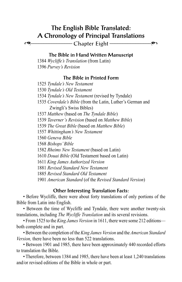## The English Bible Translated: A Chronology of Principal Translations

=–––––––––––––––– Chapter Eight ––––––––––––––––'

The Bible in Hand Written Manuscript

1384 *Wycliffe's Translation* (from Latin) 1396 *Purvey's Revision*

#### The Bible in Printed Form

1525 *Tyndale's New Testament*

1530 *Tyndale's Old Testament*

1534 *Tyndale's New Testament* (revised by Tyndale)

1535 *Coverdale's Bible* (from the Latin, Luther's German and Zwingli's Swiss Bibles)

1537 *Matthew* (based on *The Tyndale Bible*)

1539 *Taverner's Revision* (based on *Matthew Bible*)

1539 *The Great Bible* (based on *Matthew Bible*)

1557 *Whittingham's New Testament*

1560 *Geneva Bible*

1568 *Bishops' Bible*

1582 *Rheims New Testament* (based on Latin)

1610 *Douai Bible* (Old Testament based on Latin)

1611 *King James Authorized Version*

1881 *Revised Standard New Testament*

1885 *Revised Standard Old Testament*

1901 *American Standard* (of the *Revised Standard Version*)

#### Other Interesting Translation Facts:

• Before Wycliffe, there were about forty translations of only portions of the Bible from Latin into English.

• Between the time of Wycliffe and Tyndale, there were another twenty-six translations, including *The Wycliffe Translation* and its several revisions.

• From 1525 to the *King James Version* in 1611, there were some 212 editions both complete and in part.

• Between the completion of the *King James Version* and the *American Standard Version,* there have been no less than 522 translations.

• Between 1901 and 1985, there have been approximately 440 recorded efforts to translation the Bible.

• Therefore, between 1384 and 1985, there have been at least 1,240 translations and/or revised editions of the Bible in whole or part.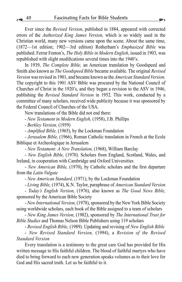Ever since the *Revised Version*, published in 1884, appeared with corrected errors of the *Authorized King James Version,* which is so widely used in the Christian world, many new versions came upon the scene. About the same time, (1872—1st edition; 1902—3rd edition) Rotherham's *Emphasized Bible* was published. Ferrar Fenton's, *The Holy Bible in Modern English*, issued in 1903, was republished with slight modifications several times into the 1940's.

In 1939, *The Complete Bible,* an American translation by Goodspeed and Smith also known as *The Goodspeed Bible* became available. The original *Revised Version* was revised in 1901, and became known as the *American Standard Version.*  The copyright to this 1901 ASV Bible was procured by the National Council of Churches of Christ in the 1920's, and they began a revision to the ASV in 1946, publishing the *Revised Standard Version* in 1952. This work, conducted by a committee of many scholars, received wide publicity because it was sponsored by the Federal Council of Churches of the USA.

New translations of the Bible did not end there:

- *New Testament in Modern English,* (1958), J.B. Phillips

- *Berkley Version,* (1959)

- *Amplified Bible,* (1965), by the Lockman Foundation

- *Jerusalem Bible,* (1966), Roman Catholic translation in French at the Ecole Biblique et Archeologique in Jerusalem

- *New Testament: A New Translation,* (1968), William Barclay

- *New English Bible,* (1970). Scholars from England, Scotland, Wales, and Ireland, in cooperation with Cambridge and Oxford Universities

- *New American Bible,* (1970), by Catholic scholars and the first departure from the *Latin Vulgate*

- *New American Standard,* (1971), by the Lockman Foundation

- *Living Bible,* (1974), K.N. Taylor, paraphrase of *American Standard Version*

- *Today's English Version,* (1976), also known as *The Good News Bible,*  sponsored by the American Bible Society

- *New International Version,* (1978), sponsored by the New York Bible Society using worldwide scholars, each book of the Bible assigned to a team of scholars

- *New King James Version,* (1982), sponsored by *The International Trust for Bible Studies* and Thomas Nelson Bible Publishers using 119 scholars

- *Revised English Bible,* (1989). Updating and revising of *New English Bible*

- *New Revised Standard Version,* (1994), a *Revision of the Revised Standard Version*

Every translation is a testimony to the great care God has provided for His written message to His faithful children. The blood of faithful martyrs who have died to bring forward to each new generation speaks volumes as to their love for God and His sacred truth. Let us be faithful to it.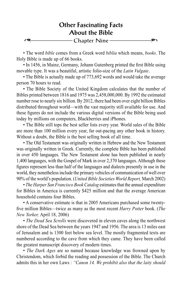## Other Fascinating Facts About the Bible =–––––––––––––––– Chapter Nine ––––––––––––––––'

• The word *bible* comes from a Greek word *biblia* which means, *books*. The Holy Bible is made up of 66 books.

• In 1456, in Mainz, Germany, Johann Gutenberg printed the first Bible using movable type. It was a beautiful, artistic folio-size of the *Latin Vulgate*.

• The Bible is actually made up of 773,692 words and would take the average person 70 hours to read.

• The Bible Society of the United Kingdom calculates that the number of Bibles printed between 1816 and 1975 was 2,458,000,000. By 1992 the estimated number rose to nearly six billion. By 2012, there had been over eight billion Bibles distributed throughout world—with the vast majority still available for use. And these figures do not include the various digital versions of the Bible being used today by millions on computers, Blackberries and iPhones.

• The Bible still tops the best seller lists every year. World sales of the Bible are more than 100 million every year, far out-pacing any other book in history. Without a doubt, the Bible is the best selling book of all time.

• The Old Testament was originally written in Hebrew and the New Testament was originally written in Greek. Currently, the complete Bible has been published in over 450 languages. The New Testament alone has been published in nearly 1,400 languages, with the Gospel of Mark in over 2,370 languages. Although these figures represent less than half of the languages and dialects presently in use in the world, they nonetheless include the primary vehicles of communication of well over 90% of the world's population. (*United Bible Societies World Report,* March 2002)

• *The Harper San Francisco Book Catalog* estimates that the annual expenditure for Bibles in America is currently \$425 million and that the average American household contains four Bibles.

• A conservative estimate is that in 2005 Americans purchased some twentyfive million Bibles—twice as many as the most recent *Harry Potter* book. (*The New Yorker,* April 18, 2006)

• *The Dead Sea Scrolls* were discovered in eleven caves along the northwest shore of the Dead Sea between the years 1947 and 1956. The area is 13 miles east of Jerusalem and is 1300 feet below sea level. The mostly fragmented texts are numbered according to the cave from which they came. They have been called the greatest manuscript discovery of modern times.

• *The Dark Ages* are so named because knowledge was frowned upon by Christendom, which forbid the reading and possession of the Bible. The Church admits this in her own Laws : *"Canon 14. We prohibit also that the laity should*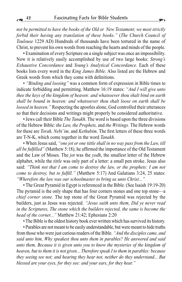*not be permitted to have the books of the Old or New Testament; we most strictly forbid their having any translation of these books."* (*The Church Council of Toulouse* 1229 AD) Hundreds of thousands have been tortured in the name of Christ, to prevent his own words from reaching the hearts and minds of the people.

• Examination of every Scripture on a single subject was once an impossibility. Now it is relatively easily accomplished by use of two large books: *Strong's Exhaustive Concordance* and *Young's Analytical Concordance.* Each of these books lists every word in the *King James Bible.* Also listed are the Hebrew and Greek words from which they come with definitions.

• *"Binding and loosing"* was a common form of expression in Bible times to indicate forbidding and permitting. Matthew 16:19 states: *"And I will give unto thee the keys of the kingdom of heaven: and whatsoever thou shalt bind on earth shall be bound in heaven: and whatsoever thou shalt loose on earth shall be loosed in heaven."* Respecting the apostles alone, God controlled their utterances so that their decisions and writings might properly be considered authoritative.

• Jews call their Bible *The Tanakh*. The word is based upon the three divisions of the Hebrew Bible: *the Law, the Prophets,* and *the Writings.* The Hebrew words for these are *Torah, Nebi'im,* and *Kethubim.* The first letters of these three words are T-N-K, which come together in the word *Tanakh*.

• When Jesus said, *"one jot or one tittle shall in no way pass from the Law, till all be fulfilled"* (Matthew 5:18), he affirmed the importance of the Old Testament and the Law of Moses. The *jot* was the *yodh*, the smallest letter of the Hebrew alphabet, while the *tittle* was only part of a letter: a small pen stroke. Jesus also said: *"Think not that I am come to destroy the law, or the prophets: I am not come to destroy, but to fulfill."* (Matthew 5:17) And Galatians 3:24, 25 states: *"Wherefore the law was our schoolmaster to bring us unto Christ..."*

• The Great Pyramid in Egypt is referenced in the Bible. (See Isaiah 19:19-20) The pyramid is the only shape that has four corners stones and one top stone—a *chief corner stone.* The top stone of the Great Pyramid was rejected by the builders, just as Jesus was rejected. *"Jesus saith unto them, Did ye never read in the Scriptures, The stone which the builders rejected, the same is become the head of the corner..."* Matthew 21:42; Ephesians 2:20

• The Bible is the oldest history book ever written which has survived its history.

• Parables are not meant to be easily understandable, but were meant to hide truths from those who were just curious readers of the Bible. *"And the disciples came, and said unto him, Why speakest thou unto them in parables? He answered and said unto them, Because it is given unto you to know the mysteries of the kingdom of heaven, but to them it is not given... Therefore speak I to them in parables: because they seeing see not; and hearing they hear not, neither do they understand... But blessed are your eyes, for they see: and your ears, for they hear."*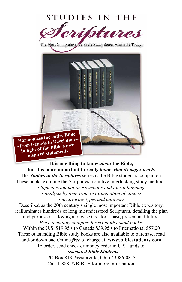

The Most Comprehensive Bible Study Series Available Today!



**It is one thing to know** *about* **the Bible, but it is more important to really** *know what its pages teach.* The *Studies in the Scriptures* series is the Bible student's companion. These books examine the Scriptures from five interlocking study methods: *• topical examination • symbolic and literal language • analysis by time-frame • examination of context • uncovering types and antitypes* Described as the 20th century's single most important Bible expository, it illuminates hundreds of long misunderstood Scriptures, detailing the plan and purpose of a loving and wise Creator—past, present and future. *Price including shipping for six cloth bound books:* Within the U.S. \$19.95 • to Canada \$39.95 • to International \$57.20 These outstanding Bible study books are also available to purchase, read

and/or download Online *free* of charge at: **www.biblestudents.com** To order, send check or money order in U.S. funds to:

*Associated Bible Students*

PO Box 813, Westerville, Ohio 43086-0813 Call 1-888-77BIBLE for more information.